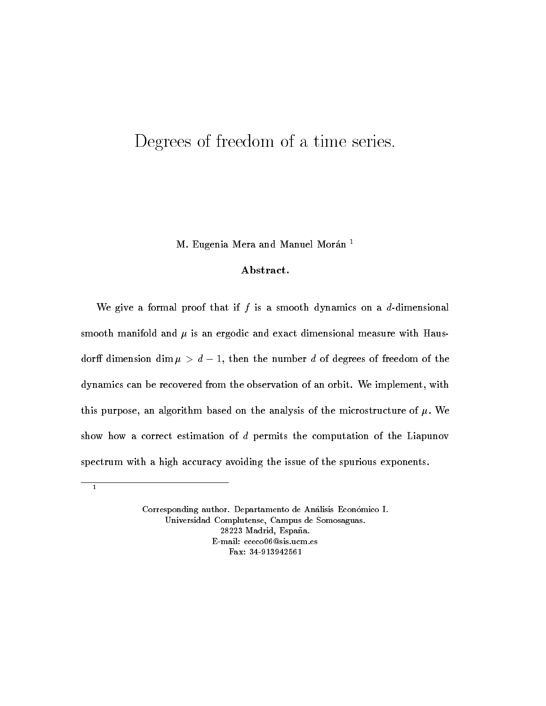## Degrees of freedom of a time series.

M- Eugenia Mera and Manuel Moran

## Abstract.

We give a formal proof that if f is a smooth dynamics on a d-dimensional smooth manifold and position and exact dimensional measurement and in the measure with  $\sim$ dorn dimension dim  $\mu > a-1,$  then the number  $a$  of degrees of freedom of the dynamics can be recovered from the observation of an orbit- We implement with the purpose and  $\mathbb{R}^n$  are mixing on the analysis of the microstructure of  $\mathbb{R}^n$  . The microstructure of  $\mathbb{R}^n$ show how a correct estimation of  $d$  permits the computation of the Liapunov spectrum with a high accuracy avoiding the issue of the spurious exponents.

 $\overline{1}$ 

Corresponding author- Departamento de Analisis Economico I-Universidad Complutense, Campus de Somosaguas. 28223 Madrid, España.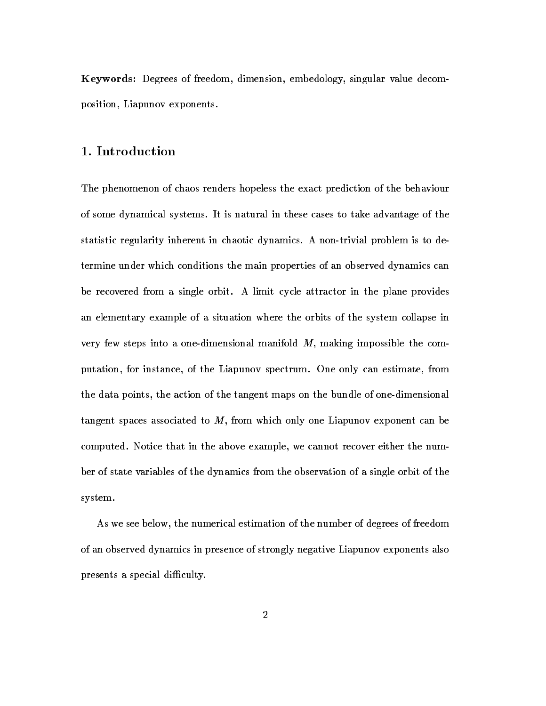Keywords: Degrees of freedom, dimension, embedology, singular value decomposition, Liapunov exponents.

The phenomenon of chaos renders hopeless the exact prediction of the behaviour of some dynamical systems- It is natural in these cases to take advantage of the statistic regularity inherent in chaotic dynamics- A nontrivial problem is to de termine under which conditions the main properties of an observed dynamics can be recovered from a single orbit- A limit cycle attractor in the plane provides an elementary example of a situation where the orbits of the system collapse in very few steps into a one-dimensional manifold  $M$ , making impossible the computation, i.e. instance, is the Liapunov spectrum-can estimate from a construment from the second the data points, the action of the tangent maps on the bundle of one-dimensional tangent spaces associated to  $M$ , from which only one Liapunov exponent can be computed- above that in the above examples we cannot recover the number  $\sim$ ber of state variables of the dynamics from the observation of a single orbit of the system-

As we see below, the numerical estimation of the number of degrees of freedom of an observed dynamics in presence of strongly negative Liapunov exponents also presents a special difficulty.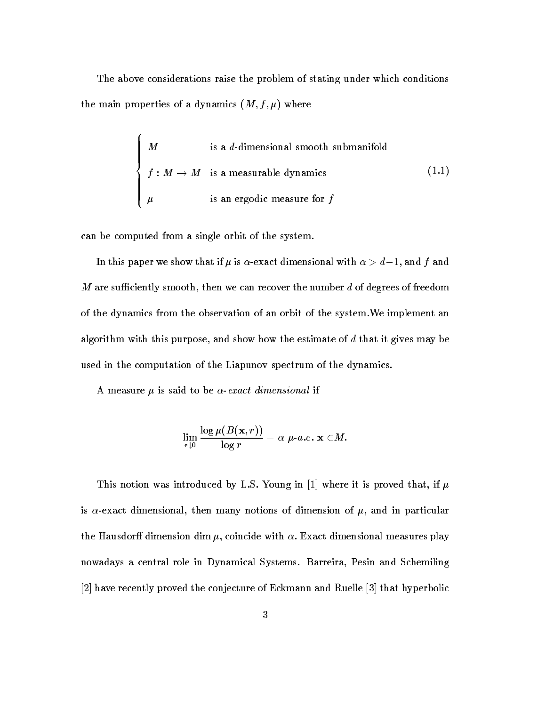The above considerations raise the problem of stating under which conditions the main properties of a dynamics of a dynamics  $\mathcal{M}$  and  $\mathcal{M}$  and  $\mathcal{M}$ 

$$
\begin{cases}\nM & \text{is a } d\text{-dimensional smooth submanifold} \\
f: M \to M & \text{is a measurable dynamics} \\
\mu & \text{is an ergodic measure for } f\n\end{cases}
$$
\n(1.1)

can be computed from a single orbit of the system-

In this paper we show that if  $\mu$  is  $\alpha$ -exact dimensional with  $\alpha > a-1,$  and  $\tau$  and  $M$  are sufficiently smooth, then we can recover the number  $d$  of degrees of freedom of the dynamics from the observation of an orbit of the system-We implement an algorithm with this purpose, and show how the estimate of  $d$  that it gives may be used in the computation of the Liapunov spectrum of the dynamics.

 $A$  measure  $A$  measure  $\mathcal{A}$  and the exact dimensional if  $\mathcal{A}$  and the exact dimensional if  $\mathcal{A}$ 

$$
\lim_{r\downarrow 0} \frac{\log \mu(B(\mathbf{x},r))}{\log r} = \alpha\ \mu\text{-}a.e.\ \mathbf{x}\in M.
$$

This notion was introduced by L-S- Young in where it is proved that if is exact dimensional then many notions of dimension of - and in particular the Hausdor dimension dim - coincide with Exact dimensional measures play nowadays a central role in Dynamical Systems- Barreira Pesin and Schemiling  $[2]$  have recently proved the conjecture of Eckmann and Ruelle  $[3]$  that hyperbolic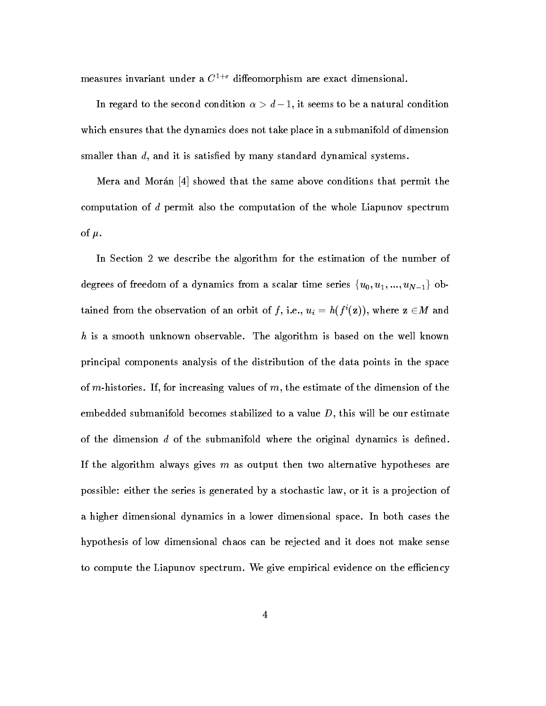measures invariant under a C- dieomorphism are exact dimensional-

In regard to the second condition  $\alpha > d-1$ , it seems to be a natural condition which ensures that the dynamics does not take place in a submanifold of dimension smaller than  $d$ , and it is satisfied by many standard dynamical systems.

Mera and Morán  $\left[4\right]$  showed that the same above conditions that permit the computation of d permit also the computation of the whole Liapunov spectrum  $\blacksquare$  -  $\blacksquare$  -  $\blacksquare$  -  $\blacksquare$  -  $\blacksquare$  -  $\blacksquare$  -  $\blacksquare$  -  $\blacksquare$  -  $\blacksquare$  -  $\blacksquare$  -  $\blacksquare$  -  $\blacksquare$  -  $\blacksquare$  -  $\blacksquare$  -  $\blacksquare$  -  $\blacksquare$  -  $\blacksquare$  -  $\blacksquare$  -  $\blacksquare$  -  $\blacksquare$  -  $\blacksquare$  -  $\blacksquare$  -  $\blacksquare$  -  $\blacksquare$  -  $\blacksquare$ 

In Section 2 we describe the algorithm for the estimation of the number of degrees of freedom of a dynamics from a scalar time series  $\{u_0, u_1, ..., u_{N-1}\}\;$  obtained from the observation of an orbit of f, i.e.,  $u_i = h(f'(z))$ , where  $z \in M$  and h is a smooth unknown observable- The algorithm is based on the well known principal components analysis of the distribution of the data points in the space of mhistories- If for increasing values of m the estimate of the dimension of the embedded submanifold becomes stabilized to a value  $D$ , this will be our estimate of the dimension  $d$  of the submanifold where the original dynamics is defined. If the algorithm always gives  $m$  as output then two alternative hypotheses are possible: either the series is generated by a stochastic law, or it is a projection of a <del>angu</del>st dimensional dynamics in a lower dimensional space-on a lower dimensional spacehypothesis of low dimensional chaos can be rejected and it does not make sense to compute the Liapunov spectrum-computer that is considered the existing  $\mu$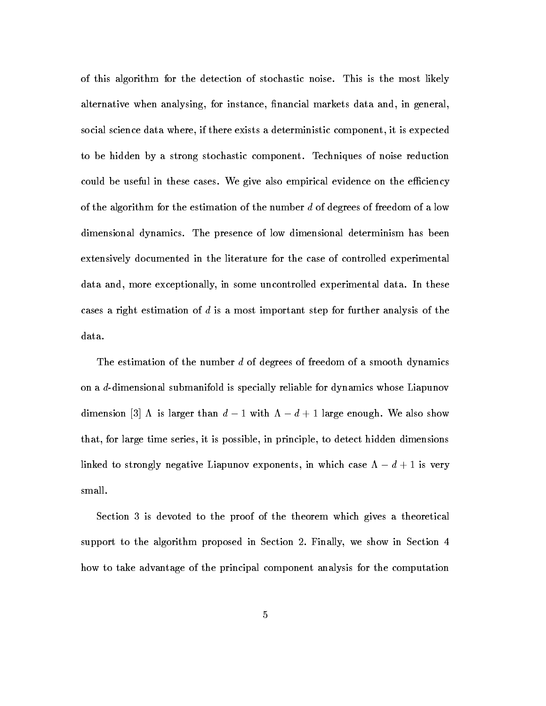of this algorithm for the detection of stochastic noise- This is the most likely alternative when analysing, for instance, financial markets data and, in general, social science data where, if there exists a deterministic component, it is expected to be hidden by a strong stochastic component- Techniques of noise reduction could be useful in these cases- We give also empirical evidence on the eciency of the algorithm for the estimation of the number d of degrees of freedom of a low dimensional dynamics- The presence of low dimensional determinism has been extensively documented in the literature for the case of controlled experimental addata and more exceptionally in some uncontrolled experimental datable experimental datacases a right estimation of d is a most important step for further analysis of the  $_{\rm data.}$ 

The estimation of the number d of degrees of freedom of a smooth dynamics on a d-dimensional submanifold is specially reliable for dynamics whose Liapunov dimension  $\beta$   $\Lambda$  is larger than  $a - 1$  with  $\Lambda - a + 1$  large enough. We also show that, for large time series, it is possible, in principle, to detect hidden dimensions linked to strongly negative Liapunov exponents, in which case  $\Lambda - d + 1$  is very small.

Section 3 is devoted to the proof of the theorem which gives a theoretical support to the algorithm proposed in Section 2. Finally, we show in Section  $4$ how to take advantage of the principal component analysis for the computation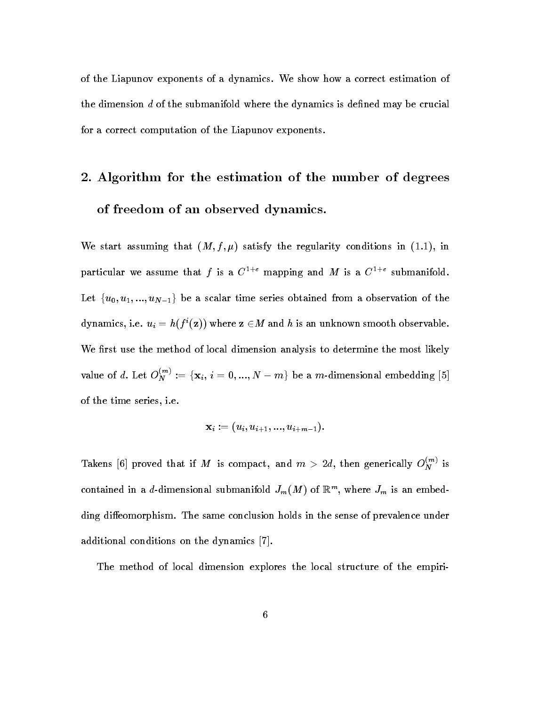of the Liapunov exponents of a dynamics- We show how a correct estimation of the dimension  $d$  of the submanifold where the dynamics is defined may be crucial for a correct computation of the Liapunov exponents.

# - Algorithm for the estimation of the number of degrees of freedom of an observed dynamics-

we start assuming that the regularity conditions in the regularity conditions in the regularity conditions in the regularity conditions of the regularity conditions in the regularity conditions in the regularity conditions particular we assume that f is a  $C^{++}$  mapping and M is a  $C^{++}$  submanifold. Let  $\{u_0, u_1, ..., u_{N-1}\}\,$  be a scalar time series obtained from a observation of the dynamics, i.e.  $u_i = h(f^*(\mathbf{z}))$  where  $\mathbf{z} \in M$  and  $h$  is an unknown smooth observable. We first use the method of local dimension analysis to determine the most likely value of d. Let  $O_N^{\dots} := \{x_i, i = 0, ..., N-m\}$  be a m-dimensional embedding [5] of the time series i-time series i-time series i-time series i-time series i-time series i-time series i-time

$$
\mathbf{x}_i := (u_i, u_{i+1}, ..., u_{i+m-1}).
$$

Takens [6] proved that if M is compact, and  $m > 2d$ , then generically  $O_N^{\gamma}$  is contained in a *d*-dimensional submanifold  $J_m(M)$  of  $\mathbb{R}^m$ , where  $J_m$  is an embedding dieomorphism- The same conclusion holds in the sense of prevalence under additional conditions on the dynamics  $[7]$ .

The method of local dimension explores the local structure of the empiri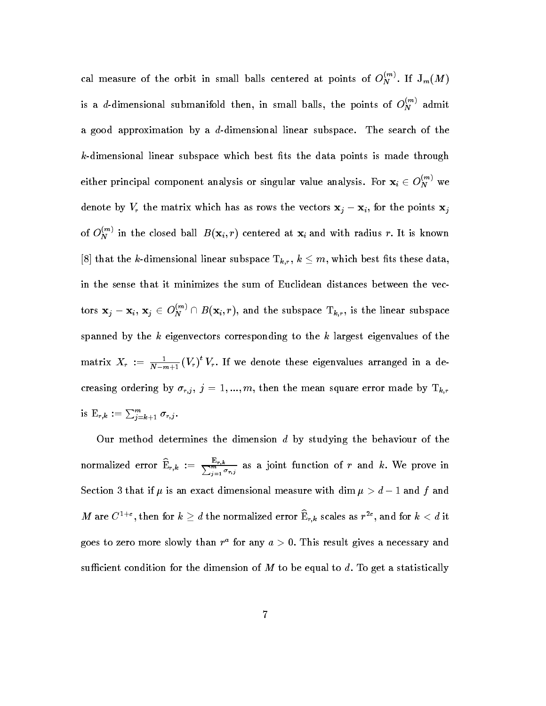cal measure of the orbit in small balls centered at points of  $O_N^{\sim}$ . If  $\mathsf{J}_m(M)$ is a d-dimensional submanifold then, in small balls, the points of  $O_N^{\times \times}$  admit a good approximation by a ddimensional linear subspace-art subspace-art subspace $k$ -dimensional linear subspace which best fits the data points is made through either principal component analysis or singular value analysis. For  $\mathbf{x}_i\in O_N^{\sim\gamma}$  we denote by  $V_r$  the matrix which has as rows the vectors  $x_j - x_i$ , for the points  $x_j$ of  $O_N^{\sim}$  in the closed ball  $B(\mathbf{x}_i,r)$  centered at  $\mathbf{x}_i$  and with radius r. It is known [8] that the k-dimensional linear subspace  $T_{k,r}$ ,  $k \leq m$ , which best fits these data, in the sense that it minimizes the sum of Euclidean distances between the vec tors  ${\bf x}_j-{\bf x}_i,$   ${\bf x}_j\in O_N^{\infty} \cap B({\bf x}_i, r),$  and the subspace  ${\rm T}_{k,r},$  is the linear subspace spanned by the  $k$  eigenvectors corresponding to the  $k$  largest eigenvalues of the matrix  $X_r := \frac{1}{N-m+1}(V_r)^T V_r$ . It we denote these eigenvalues arranged in a decreasing ordering by  $\sigma_{r,j}$ ,  $j = 1, ..., m$ , then the mean square error made by  $T_{k,r}$ is  $\mathop{\mathrm{E}}_{r,k} := \sum_{i=k+1}^{m} \sigma_{r,j}.$ 

Our method determines the dimension  $d$  by studying the behaviour of the normalized error  $\mathbb{E}_{r,k} := \frac{1}{\sum_{j=1}^m \sigma_{r,j}}$  as a joint function of r and k. We prove in Section 3 that if  $\mu$  is an exact dimensional measure with dim  $\mu > a - 1$  and  $\tau$  and IN are C<sup>-12</sup>, then for  $\kappa \ge a$  the normalized error  $\mathbf{E}_{r,k}$  scales as  $r^{-1}$ , and for  $\kappa < a$  it goes to zero more slowly than  $r^2$  for any  $a > 0$ . This result gives a necessary and sufficient condition for the dimension of M to be equal to d. To get a statistically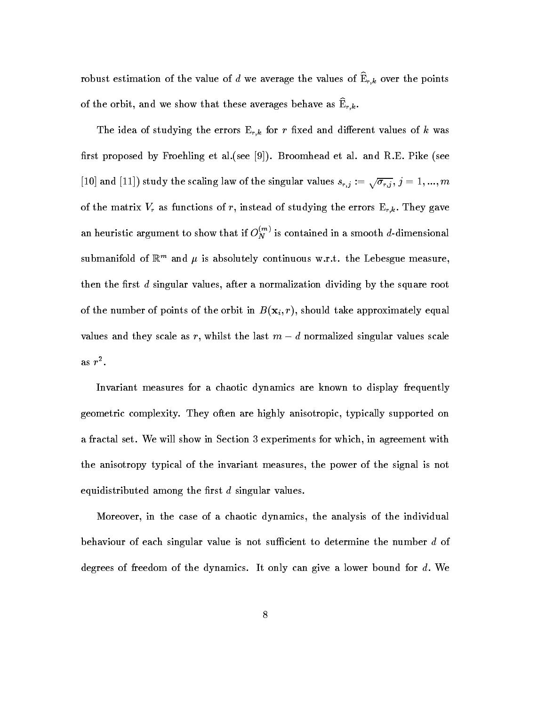robust estimation of the value of d we average the values of  $\widehat{\mathbb{E}}_{r,k}$  over the points of the orbit, and we show that these averages behave as  $E_{r,k}$ .

The idea of studying the errors  $E_{r,k}$  for r fixed and different values of k was rst proposed by Froehling et al- see - Broomhead et al- and R-E- Pike see [10] and [11]) study the scaling law of the singular values  $s_{r,i} := \sqrt{\sigma_{r,i}}$ ,  $j = 1,...,m$ of the matrix  $V_r$  as functions of r, instead of studying the errors  $E_{r,k}$ . They gave an heuristic argument to show that if  $O_N^{\sim}$  is contained in a smooth d-dimensional submanifold of  $\mathbb{R}^m$  and  $\mu$  is absolutely continuous w.f.t. the Lebesgue measure, then the first  $d$  singular values, after a normalization dividing by the square root of the number of the orbit in Bilbon in Bilbon in Bilbon in Bilbon in Bilbon in Bilbon in Bilbon in Bilbon in B values and they scale as r, whilst the last  $m-d$  normalized singular values scale as r

Invariant measures for a chaotic dynamics are known to display frequently geometric complexity-complexity-control they are highly supported on the control on the control on the control on  $\mathcal{S}$ a fraction set-class in Section 1 and the show in Section 2 and which in agreement with the section of the sec the anisotropy typical of the invariant measures, the power of the signal is not equidistributed among the first  $d$  singular values.

Moreover in the case of a chaotic dynamics the analysis of the individual behaviour of each singular value is not sufficient to determine the number  $d$  of degrees of freedom of the dynamics- It only can give a lower bound for d We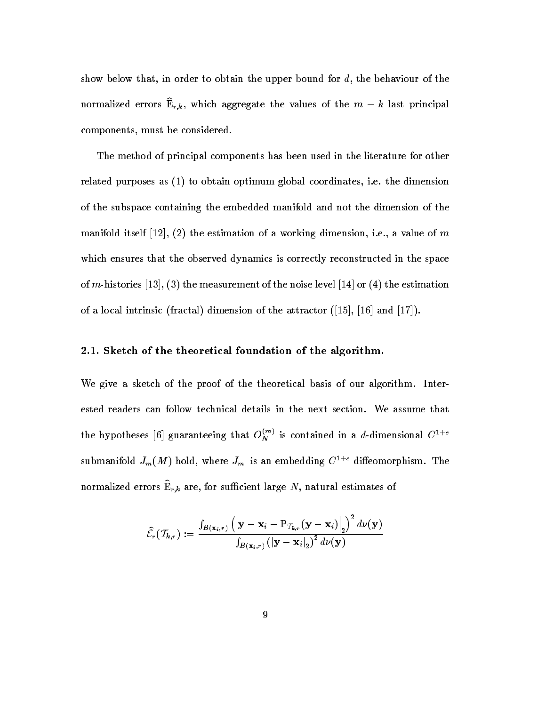show below that, in order to obtain the upper bound for  $d$ , the behaviour of the normalized errors  ${\bf E}_{r,k},$  which aggregate the values of the  $m-\kappa$  last principal components, must be considered.

The method of principal components has been used in the literature for other related purposes as to obtain optimum global coordinates i-e- the dimension of the subspace containing the embedded manifold and not the dimension of the manifold itself  $\mathbf{u}$  and  $\mathbf{u}$  are  $\mathbf{u}$  and  $\mathbf{v}$  and  $\mathbf{v}$  are  $\mathbf{u}$  and  $\mathbf{v}$  and  $\mathbf{v}$  are  $\mathbf{v}$  and  $\mathbf{v}$  and  $\mathbf{v}$  are  $\mathbf{v}$  and  $\mathbf{v}$  and  $\mathbf{v}$  are  $\mathbf{v}$  and  $\mathbf{v}$  a which ensures that the observed dynamics is correctly reconstructed in the space of mhistories the measurement of the noise level or the estimation of a local intrinsic intrinsic  $\mathbf{A}$  intrinsic attractor  $\mathbf{A}$  in the attractor of the attractor  $\mathbf{A}$ 

#### -- Sketch of the theoretical foundation of the algorithm-

We give a sketch of the proof of the theoretical basis of our algorithm- Inter the hypotheses [6] guaranteeing that  $O_N^{\sim}$  is contained in a d-dimensional  $C^{++}$ submanifold  $J_m(M)$  hold, where  $J_m$  is an embedding  $C^{-++}$  diffeomorphism. The normalized errors  $E_{r,k}$  are, for sufficient large TV, hatural estimates of

$$
\widehat{\mathcal{E}}_r(\mathcal{T}_{k,r}) := \frac{\int_{\boldsymbol{B}\left(\mathbf{x}_i,r\right)} \left(\left|\mathbf{y}-\mathbf{x}_i-\mathrm{P}_{\mathcal{T}_{k,r}}(\mathbf{y}-\mathbf{x}_i)\right|_2\right)^2 d\nu(\mathbf{y})}{\int_{\boldsymbol{B}\left(\mathbf{x}_i,r\right)} \left(\left|\mathbf{y}-\mathbf{x}_i\right|_2\right)^2 d\nu(\mathbf{y})}
$$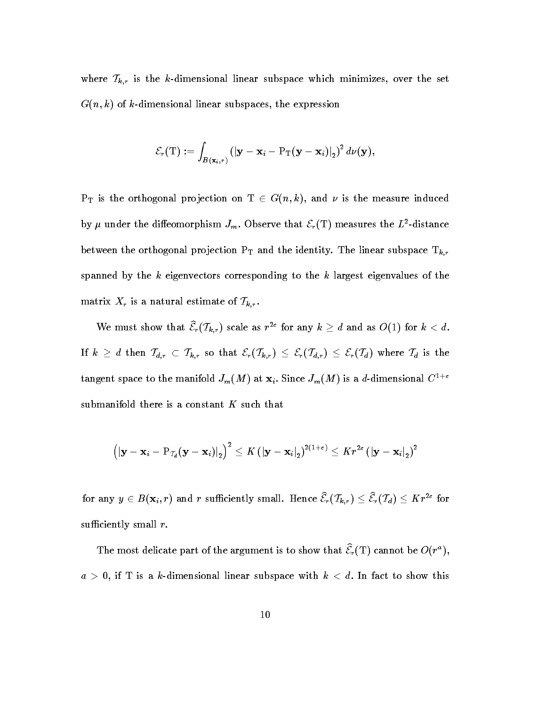where  $\mathcal{T}_{k,r}$  is the k-dimensional linear subspace which minimizes, over the set G n k of kdimensional linear subspaces the expression

$$
\mathcal{E}_r(\mathrm{T}):=\int_{B(\mathbf{x}_i,r)}\left(|\mathbf{y}-\mathbf{x}_i-\mathrm{P}_\mathrm{T}(\mathbf{y}-\mathbf{x}_i)|_2\right)^2d\nu(\mathbf{y}),
$$

 $P_{\text{T}}$  is the orthogonal projection on  $1 \in G(n, \kappa)$ , and  $\nu$  is the measure induced by  $\mu$  under the diffeomorphism  $J_m$ . Observe that  ${\cal E}_r(1)$  measures the  $L$ -distance  $\alpha$  finds the orthogonal projection  $\Gamma$  and the linear subspace  $\alpha$  and the identity-  $\Gamma$ spanned by the  $k$  eigenvectors corresponding to the  $k$  largest eigenvalues of the matrix  $X_r$  is a natural estimate of  $\mathcal{T}_{k,r}$ .

We must show that  $\mathcal{E}_r(I_{k,r})$  scale as r<sup>--</sup> for any  $\kappa \geq a$  and as  $\mathcal{O}(1)$  for  $\kappa < a$ . If  $k \geq d$  then  $\mathcal{T}_{d,r} \subset \mathcal{T}_{k,r}$  so that  $\mathcal{E}_r(\mathcal{T}_{k,r}) \leq \mathcal{E}_r(\mathcal{T}_{d,r}) \leq \mathcal{E}_r(\mathcal{T}_d)$  where  $\mathcal{T}_d$  is the tangent space to the manifold  $J_m(M)$  at  $\mathbf{x}_i$ . Since  $J_m(M)$  is a a-dimensional  $C^{-++}$ submanifold there is a constant  $K$  such that

$$
\left(\left|\mathbf{y}-\mathbf{x}_i-\mathrm{P}_{\mathcal{I}_d}(\mathbf{y}-\mathbf{x}_i)\right|_2\right)^2 \leq K \left(\left|\mathbf{y}-\mathbf{x}_i\right|_2\right)^{2(1+\varepsilon)} \leq K r^{2\varepsilon} \left(\left|\mathbf{y}-\mathbf{x}_i\right|_2\right)^2
$$

for any  $y \in B(\mathbf{x}_i, r)$  and r sumclently small. Hence  $\varepsilon_r(I_{k,r}) \leq \varepsilon_r(I_d) \leq K r^{-1}$  for sufficiently small  $r$ .

The most delicate part of the argument is to show that  $\mathcal{E}_r(1)$  cannot be  $\mathcal{O}(r^*)$ ,  $a > 0$ , if T is a k-dimensional linear subspace with  $k < d$ . In fact to show this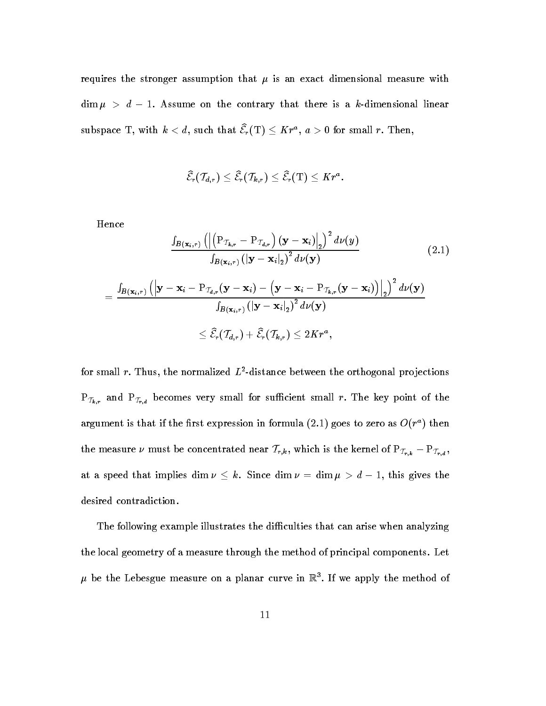requires the stronger assumption that - is an exact dimensional measure with dim  $\mu > a - 1$ . Assume on the contrary that there is a  $\kappa$ -dimensional linear subspace 1, with  $\kappa < a$ , such that  $\varepsilon_r$  (1)  $\leq$  A r<sup>-</sup>,  $a > 0$  for small r. Then,

$$
\widehat{\mathcal{E}}_r(\mathcal{T}_{d,r}) \leq \widehat{\mathcal{E}}_r(\mathcal{T}_{k,r}) \leq \widehat{\mathcal{E}}_r(\mathrm{T}) \leq K r^a.
$$

Hence

$$
\frac{\int_{B(\mathbf{x}_{i},r)} \left( \left| \left( \mathbf{P}_{\mathcal{T}_{k},r} - \mathbf{P}_{\mathcal{T}_{d,r}} \right) (\mathbf{y} - \mathbf{x}_{i}) \right|_{2} \right)^{2} d\nu(y)}{\int_{B(\mathbf{x}_{i},r)} \left( \left| \mathbf{y} - \mathbf{x}_{i} \right|_{2} \right)^{2} d\nu(y)} \qquad (2.1)
$$
\n
$$
= \frac{\int_{B(\mathbf{x}_{i},r)} \left( \left| \mathbf{y} - \mathbf{x}_{i} - \mathbf{P}_{\mathcal{T}_{d,r}} (\mathbf{y} - \mathbf{x}_{i}) - \left( \mathbf{y} - \mathbf{x}_{i} - \mathbf{P}_{\mathcal{T}_{k,r}} (\mathbf{y} - \mathbf{x}_{i}) \right) \right|_{2} \right)^{2} d\nu(y)}{\int_{B(\mathbf{x}_{i},r)} \left( \left| \mathbf{y} - \mathbf{x}_{i} \right|_{2} \right)^{2} d\nu(y)} \leq \widehat{\mathcal{E}}_{r}(\mathcal{T}_{d,r}) + \widehat{\mathcal{E}}_{r}(\mathcal{T}_{k,r}) \leq 2Kr^{a},
$$
\n(2.1)

for small  $r$ . Thus, the normalized  $L$  -distance between the orthogonal projections  $\mathcal{L}^*$  and  $\mathcal{L}^*$  and  $\mathcal{L}^*$  and  $\mathcal{L}^*$  point of the such small form  $\mathcal{L}^*$  . The key point of the key point of the key point  $\mathcal{L}^*$ argument is that if the first expression in formula (2.1) goes to zero as  $O(r^+)$  then the measure  $\nu$  must be concentrated near  $I_{r,k}$ , which is the kernel of  $\Gamma_{T_{r,k}} - \Gamma_{T_{r,d}}$ , at a speed that implies  $\dim \nu \leq \kappa$ . Since  $\dim \nu = \dim \mu > a-1$ , this gives the desired contradiction.

The following example illustrates the difficulties that can arise when analyzing the local geometry of a measure the magnetic method of principal components-  $\blacksquare$  $\mu$  be the Lebesgue measure on a planar curve in  $\mathbb{R}^+$ . If we apply the method of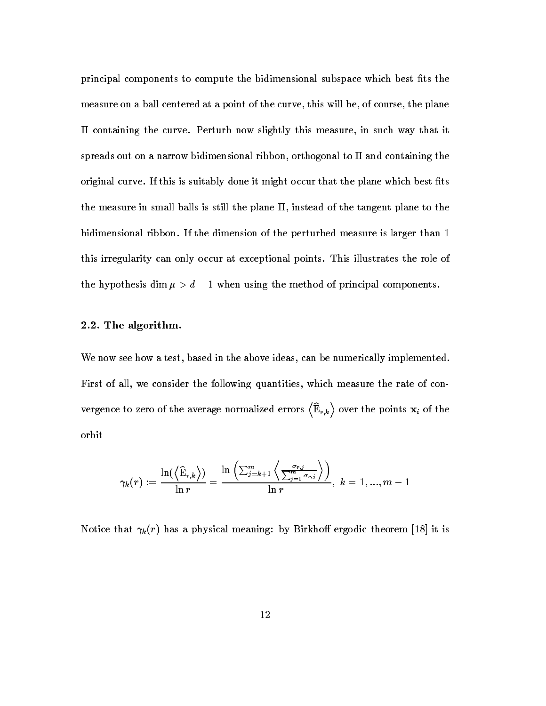principal components to compute the bidimensional subspace which best fits the measure on a ball centered at a point of the curve, this will be, of course, the plane containing the curve-secure in sugare, this measure in such way that it spreads out on a narrow bidimensional ribbon, orthogonal to  $\Pi$  and containing the original curve- If this is suitably done it might occur that the plane which best ts the measure in small balls is still the plane  $\Pi$ , instead of the tangent plane to the bidimensional ribbon-dimensional ribbon-dimensional ribbon-dimension of the perturbed measure is larger than  $\mathbf{f}(\mathbf{A})$ this irregularity can only occur at exceptional points- This illustrates the role of the hypothesis dim  $\mu > a - 1$  when using the method of principal components.

#### -the algorithm-contract and contract and contract and contract and contract and contract and contract and contract and contract and contract and contract and contract and contract and contract and contract and contract and

We now see how a test, based in the above ideas, can be numerically implemented. First of all, we consider the following quantities, which measure the rate of convergence to zero of the average normalized errors  $\langle \widehat{\mathbf{E}}_{r,k} \rangle$  over the points  $\mathbf{x}_i$  of the orbit

$$
\gamma_k(r):=\frac{\ln(\left\langle\widehat{\mathrm{E}}_{r,k}\right\rangle)}{\ln r}=\frac{\ln\left(\sum_{j=k+1}^m\left\langle\frac{\sigma_{r,j}}{\sum_{j=1}^m\sigma_{r,j}}\right\rangle\right)}{\ln r},\;k=1,...,m-1
$$

r has a physical meaning by Birkho ergodic theorem in the second three physical means in the second term in the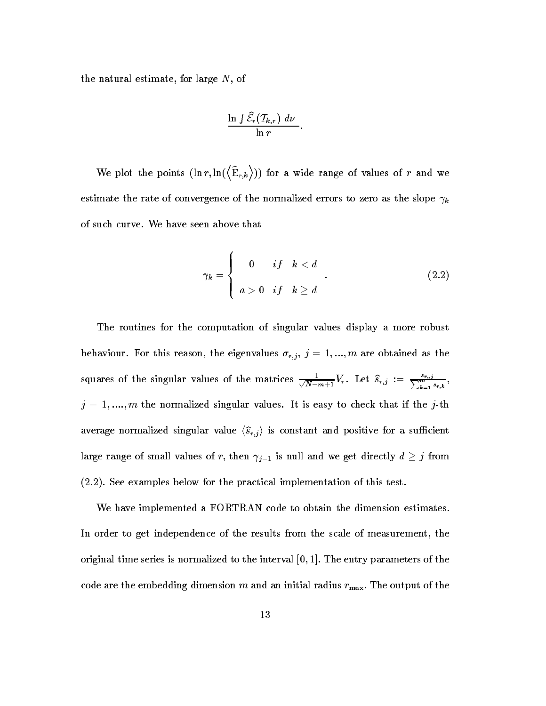the natural estimate, for large  $N$ , of

$$
\frac{\ln \int \widehat{\mathcal{E}}_r(\mathcal{T}_{k,r}) \, d\nu}{\ln r}.
$$

where the planet of the points of the points of the points of the points of the points of the points of the points of the points of the points of the points of the points of the points of the points of the points of the po  $\langle \widehat{\mathbf{E}}_{r,k} \rangle$ )) for a wide range of values of r and we estimate the rate of convergence of the normalized errors to zero as the slope <sup>k</sup>

$$
\gamma_k = \left\{ \begin{array}{ll} 0 & \text{if} \quad k < d \\ a > 0 & \text{if} \quad k \ge d \end{array} \right. \tag{2.2}
$$

The routines for the computation of singular values display a more robust  $\mathbf{f}$  are obtained as the eigenvalues reason the eigenvalues reason the eigenvalues reasonable  $\mathbf{f}$ squares of the singular values of the matrices  $\frac{1}{\sqrt{2}}$  $\frac{1}{N-m+1}V_r$ . Let  $s_{r,j} := \frac{1}{\sum_{k=1}^m s_{r,k}},$ , and the normalized singular values-in the  $j$  is the  $j$  in the  $j$  is  $\sim$ average normalized singular value  $\langle \hat{s}_{r,j} \rangle$  is constant and positive for a sufficient large range of small values of r, then  $\gamma_{j-1}$  is null and we get directly  $a\geq j$  from  $\blacksquare$  see examples below for the practical implementation of the practical implementation of this test-

We have implemented a FORTRAN code to obtain the dimension estimates. In order to get independence of the results from the scale of measurement, the original time series is normalized to the interval  $[0,1]$ . The entry parameters of the code are the embedding dimension m and an initial radius  $r_{\text{max}}$ . The output of the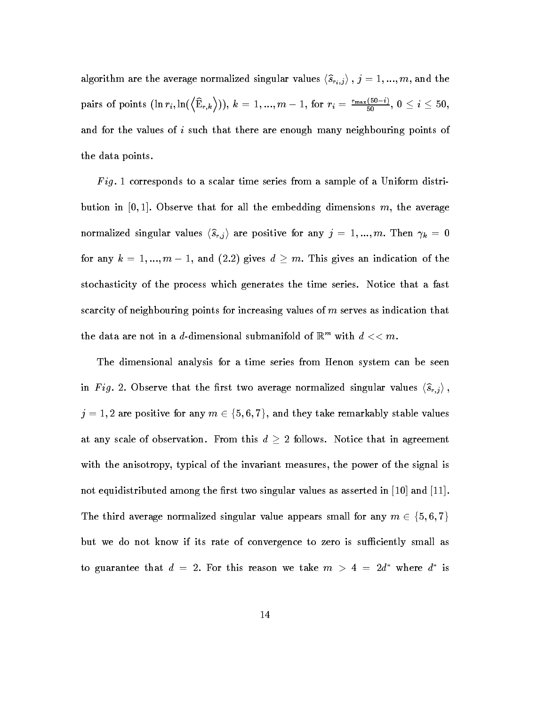algorithm are the average normalized singular values  $\langle \hat{s}_{r_i,j} \rangle$ ,  $j = 1, ..., m$ , and the pairs of points  $(\ln r_i, \ln(\langle \hat{E}_{r,k} \rangle)), k = 1, ..., m-1$ , for  $r_i = \frac{r_{\max}(50-i)}{50}$ , (  $\frac{1}{50}$ ,  $0 \leq i \leq 50$ , and for the values of i such that there are enough many neighbouring points of the data points.

 $Fig. 1 corresponds to a scalar time series from a sample of a Uniform distri$ bution in  $[0,1]$ . Observe that for all the embedding dimensions m, the average normalized singular values  $\langle s_{r,i} \rangle$  are positive for any  $j = 1, ..., m$ . Then  $\gamma_k = 0$ for any  $\kappa = 1, ..., m - 1$ , and (2.2) gives  $a > m$ . This gives an indication of the stochasticity of the process which generates the time series- Notice that a fast scarcity of neighbouring points for increasing values of  $m$  serves as indication that the data are not in a d-dimensional submanifold of  $\mathbb{R}^m$  with  $d << m$ .

The dimensional analysis for a time series from Henon system can be seen in Fig. 2. Observe that the first two average normalized singular values  $\langle \hat{s}_{r,j} \rangle$ ,  $j = 1,2$  are positive for any  $m \in \{5,6,7\},$  and they take remarkably stable values at any scale of observation. From this  $a \geq 2$  follows. Notice that in agreement with the anisotropy, typical of the invariant measures, the power of the signal is not equidistributed among the first two singular values as asserted in  $[10]$  and  $[11]$ . The third average normalized singular value appears small for any  $m \in \{5,6,7\}$ but we do not know if its rate of convergence to zero is sufficiently small as to guarantee that  $a = 2$ , for this reason we take  $m > 4 = 2a$  where  $a$  is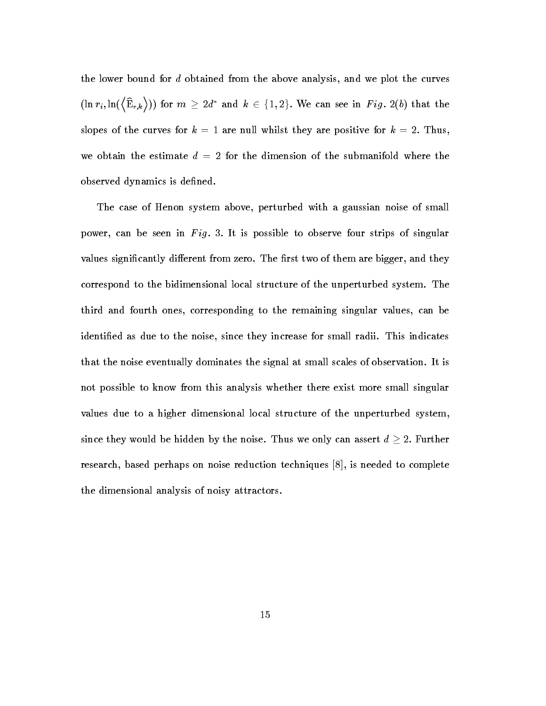the lower bound for d obtained from the above analysis, and we plot the curves  $(\ln r_i, \ln(\left\langle \widehat{\mathrm{E}}_{r.k} \right\rangle))$  for  $m \geq 2d^*$  and  $k \in \{1,2\}.$  We can see in Fig. 2(b) that the slopes of the curves for  $k = 1$  are null whilst they are positive for  $k = 2$ . Thus, we obtain the estimate  $d = 2$  for the dimension of the submanifold where the observed dynamics is defined.

The case of Henon system above, perturbed with a gaussian noise of small power, can be seen in Fig. 3. It is possible to observe four strips of singular values signicantly dierent from zero- The rst two of them are bigger and they correspond to the bidimensional local structure of the unperturbed system- The third and fourth ones, corresponding to the remaining singular values, can be identied as due to the noise since they increase for small radii- This indicates that the noise eventually dominates the signal at small scales of observationnot possible to know from this analysis whether there exist more small singular values due to a higher dimensional local structure of the unperturbed system since they would be hidden by the hoise. Thus we only can assert  $a \geq z.$  Further research, based perhaps on noise reduction techniques  $[8]$ , is needed to complete the dimensional analysis of noisy attractors-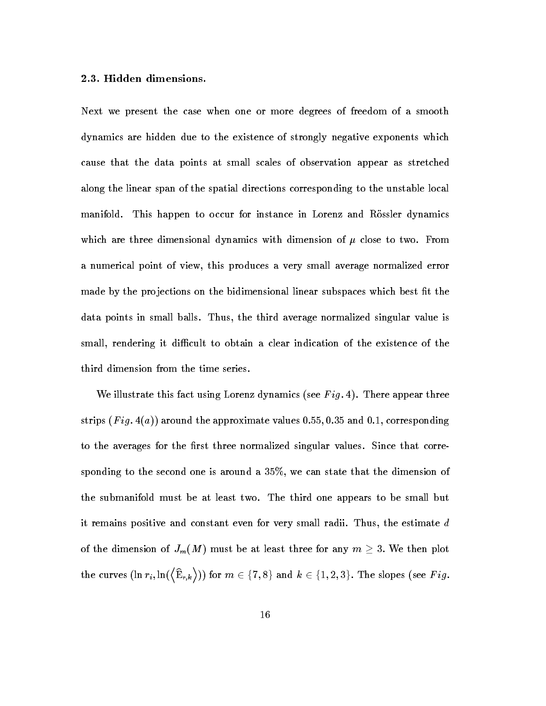Next we present the case when one or more degrees of freedom of a smooth dynamics are hidden due to the existence of strongly negative exponents which cause that the data points at small scales of observation appear as stretched along the linear span of the spatial directions corresponding to the unstable local manifold. This happen to occur for instance in Lorenz and Rössler dynamics which are three dimensional dynamics with dimension of  $\mu$  three to two-dimension a numerical point of view, this produces a very small average normalized error made by the projections on the bidimensional linear subspaces which best fit the data points in small balls-come, the third average normalized singular value is small, rendering it difficult to obtain a clear indication of the existence of the third dimension from the time series-

we is the fact that fact  $\alpha$  is factorized the factorization of  $\alpha$  is  $\alpha$  is the second three appears three appears of  $\alpha$ strips F ig a around the approximate values and corresponding to the averages for the rst three normalized singular values- Since that corre sponding to the second one is around a  $35\%$ , we can state that the dimension of the submanifold must be at least two- The third one appears to be small but it remains positive and constant even for very small radii- Thus the estimate d of the dimension of  $J_m(M)$  must be at least three for any  $m \geq 3$ . We then plot the curves  $(\ln r_i, \ln(\langle \widehat{\mathrm{E}}_{r,k} \rangle))$  for  $m \in \{7,8\}$  and  $k \in \{1,2,3\}.$  The slopes (see  $Fig.$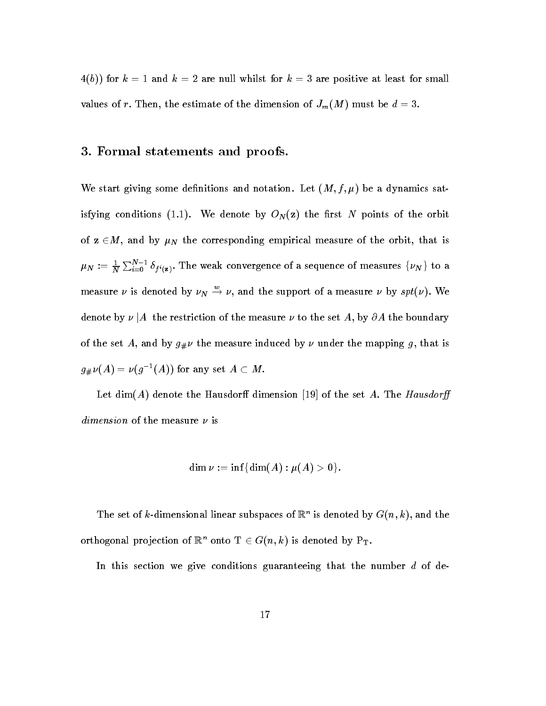$\mathbf{v} = \mathbf{v}$ values of  $\mathbb{Z}$  and dimension of  $\mathbb{Z}$  and dimension of  $\mathbb{Z}$  must be dimension of  $\mathbb{Z}$ 

#### - Formal statements and proofs-

We start giving some denitions and notation- Let M f - be a dynamics sat isfying conditions (i.e.) we denote by MI(=) control to the orbit of the orbit  $\sim$ of  $z \in M$ , and by  $\mu_N$  the corresponding empirical measure of the orbit, that is  $\mu_N:=\frac{1}{N}\sum_{i=0}^{N-1}\delta_{f^i(\mathbf{z})}.$  The weak convergence of a sequence of measures  $\{\nu_N\}$  to a measure  $\nu$  is denoted by  $\nu_N \rightarrow \nu$ , and the support of a measure  $\nu$  by  $spt(\nu)$ . We denote by  $\nu \, | A\>$  the restriction of the measure  $\nu$  to the set  $A,$  by  $\partial A$  the boundary of the set  $\mathcal{A}$  and by given by given by given by the mapping g that is mapping g that is mapping g that is  $\mathcal{A}$  $g_{\#}\nu(A) = \nu(g^{-}(A))$  for any set  $A \subset M$ .

Let dim A denote the Hausdor dimension of the set A The Hausdordimension of the measure  $\nu$  is

$$
\dim \nu := \inf \{ \dim(A) : \mu(A) > 0 \}.
$$

The set of k-dimensional linear subspaces of  $\mathbb{R}^n$  is denoted by  $G(n, \kappa)$ , and the orthogonal projection of  $\mathbb{R}^n$  onto  $1 \in G(n, k)$  is denoted by  $\mathbb{F}_T$ .

In this section we give conditions guaranteeing that the number  $d$  of de-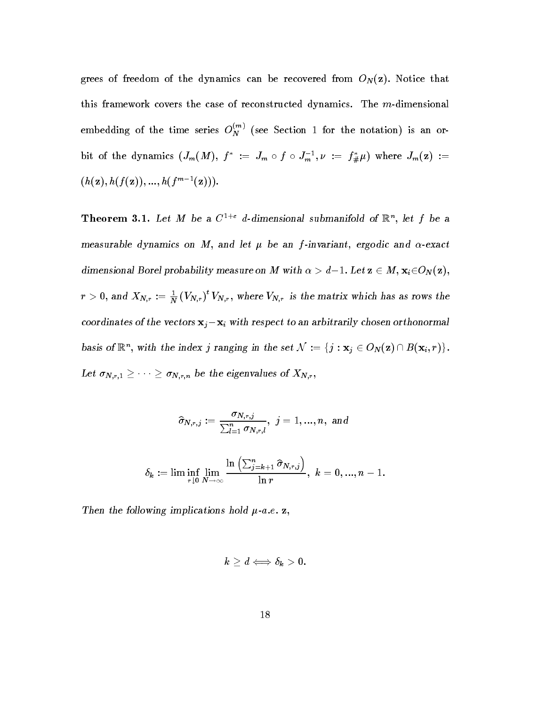$\mathbf{u}$  from  $\mathbf{v}$  the dynamics can be recovered from ON  $\mathbf{v}$ this framework covers the case of reconstructed dynamics- The mdimensional embedding of the time series  $O_N^{\sim}$  (see Section 1 for the notation) is an orbit of the dynamics  $(J_m(M), f) := J_m \circ f \circ J_m$ ;  $\mathcal{V} := J_{\#}\mu$  where  $J_m(\mathbf{Z}) :=$  $\{n(\mathbf{z}), n(\mathbf{z})\}, \ldots, n(\mathbf{z})\}$ 

**Theorem 5.1.** Let M be a  $C^+$  a-dimensional submanifold of  $\mathbb{R}^n$ , let f be a  $m$ casurable dynamics on  $m$ , and ict  $\mu$  be an  $\eta$ -invariant, eigodic and  $\alpha$ -c $\alpha$ act dimensional Borel probability measure on M with  $\alpha > a-1$ . Let  $\mathbf{z} \in M$ ,  $\mathbf{x}_i \in \mathcal{O}_N(\mathbf{z})$ ,  $r > 0$ , and  $X_{N,r} := \frac{1}{N} (V_{N,r})^r V_{N,r}$ , where  $V_{N,r}$  is the matrix which has as rows the coordinates of the vectors  ${\bf x}_i-{\bf x}_i$  with respect to an arbitrarily chosen orthonormal basis of  $\mathbb{R}^n$ , with the index j ranging in the set  $N := \{j : \mathbf{x}_j \in \mathcal{O}_N(\mathbf{Z}) \cap D(\mathbf{x}_i, r)\}\$ . Let  $\sigma_{N,r,1} \geq \cdots \geq \sigma_{N,r,n}$  be the eigenvalues of  $\Lambda_{N,r}$ ,

$$
\widehat{\sigma}_{N,r,j}:=\frac{\sigma_{N,r,j}}{\sum_{l=1}^n\sigma_{N,r,l}},\,\,j=1,...,n,\,\,\text{and}
$$
  

$$
\delta_k:=\lim\inf_{r\downarrow 0}\lim_{N\to\infty}\frac{\ln\left(\sum_{j=k+1}^n\widehat{\sigma}_{N,r,j}\right)}{\ln r},\,\,k=0,...,n-1.
$$

Then the following implications hold  $\mu$ -a.c.  $\mu$ ,

r-

N

$$
k\geq d \Longleftrightarrow \delta_k>0.
$$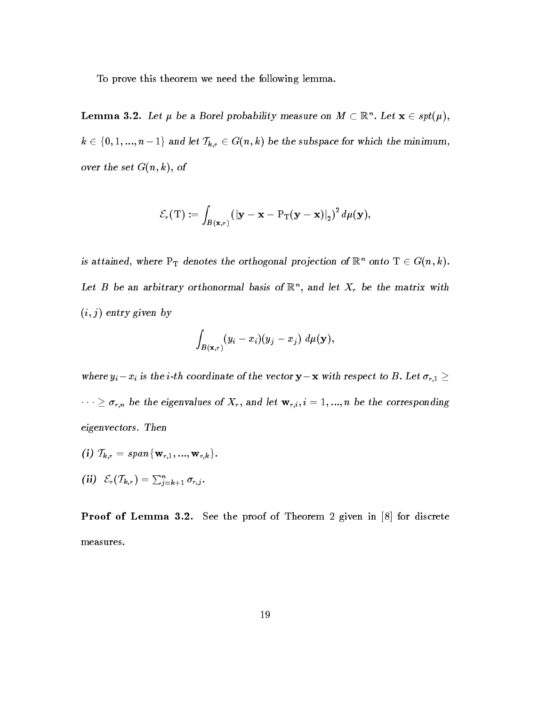To prove this theorem we need the following lemma.

**Lemma 5.2.** Let  $\mu$  be a Borel probability measure on  $M \subset \mathbb{R}^n$ . Let  $\mathbf{x} \in sp_U(\mu)$ ,  $k \in \{ 0,1,...,n-1 \}$  and let  $\mathcal{T}_{k,r} \in G(n,k)$  be the subspace for which the minimum,  $\sigma$  vertice  $\sigma$  ( $\mu$ ,  $\kappa$ ),  $\sigma$ 

$$
\mathcal{E}_r(\mathrm{T}) := \int_{B(\mathbf{x},r)} \left( |\mathbf{y} - \mathbf{x} - \mathrm{P}_\mathrm{T}(\mathbf{y} - \mathbf{x})|_2 \right)^2 d\mu(\mathbf{y}),
$$

is attained, where  $\Pr_\text{T}$  denotes the orthogonal projection of  $\mathbb{R}^n$  onto  $1 \in G(n, \kappa)$ . Let D be an arbitrary orthonormal basis of  $\mathbb{R}^n$ , and let  $\Lambda_r$  be the matrix with  $\{v, j\}$  charged given by

$$
\int_{B(\mathbf{x},r)} (y_i-x_i)(y_j-x_j) \; d\mu(\mathbf{y}),
$$

where  $y_i - x_i$  is the i-th coordinate of the vector  $\mathbf{y} - \mathbf{x}$  with respect to B. Let  $\sigma_{r,1} \geq$  $r \cdot r \geq \sigma_{r,n}$  be the eigenvalues of  $\Lambda_r$ , and let  ${\bf w}_{r,i}, i = 1,...,n$  be the corresponding eigenvectors. Then

- (1)  $I_{k,r} = span_{\{W_{r,1},...,W_{r,k}\}}$ .
- $\textbf{(ii)}\ \ \ \mathcal{E}_r(\mathcal{T}_{k,r})=\sum_{j=k+1}^n\sigma_{r,j}.$

Proof of Lemma -- See the proof of Theorem given in for discrete measures.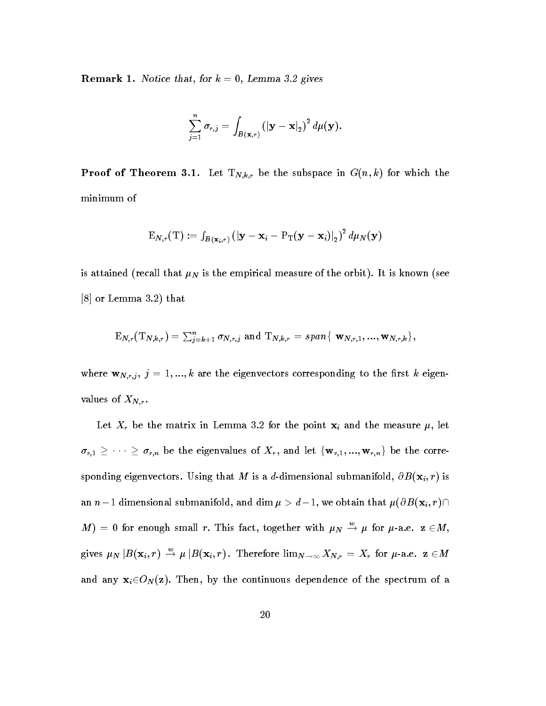**Itemark 1.** Notice that, for  $\kappa = 0$ , *Behima 0.2* gives

$$
\sum_{j=1}^n \sigma_{r,j} = \int_{B(\mathbf{x},r)} \left(|\mathbf{y}-\mathbf{x}|_2\right)^2 d\mu(\mathbf{y}).
$$

 $\mathcal{L}$  and the subspace in Gradient theorem  $\mathcal{L}(\mathcal{W}_t)$  , which there is subspace in Gradient the subspace in Gradient contract the subspace in Gradient contract of  $\mathcal{W}_t$ minimum of

$$
\mathrm{E}_{N,r}(\mathrm{T}):=\left. f_{\boldsymbol{B}(\mathbf{x}_i,r)}\left(\left|\mathbf{y}-\mathbf{x}_i-\mathrm{P}_\mathrm{T}(\mathbf{y}-\mathbf{x}_i)\right|_2\right)^2d\mu_N(\mathbf{y})\right.
$$

is attained that is the empirical measure of the orbit-the orbit-the orbit-the orbit-the orbit-the orbit-the o or Lemma - that

$$
{\rm E}_{N,r}({\rm T}_{N,k,r})=\textstyle\sum_{j=k+1}^n\sigma_{N,r,j}\,\text{ and }\,{\rm T}_{N,k,r}=span\{\,\,{\bf w}_{N,r,1},...,{\bf w}_{N,r,k}\},
$$

where  $\mathbf{w}_{N,r,j}, j = 1,...,k$  are the eigenvectors corresponding to the first k eigenvalues of  $X_{N,r}$ .

 $\frac{1}{2}$  be the matrix in Lemma - in Lemma - in Lemma - in Lemma - in Lemma - in Lemma - in Lemma - in Lemma - in Lemma - in Lemma - in Lemma - in Lemma - in Lemma - in Lemma - in Lemma - in Lemma - in Lemma - in Lemma - $\sigma_{r,1} \geq \cdots \geq \sigma_{r,n}$  be the eigenvalues of  $X_r$ , and let  $\{w_{r,1},...,w_{r,n}\}$  be the corre- $\blacksquare$  . That M is a dimensional submanifold  $\blacksquare$ an  $n-1$  dimensional submanifold, and dim  $\mu > a-1,$  we obtain that  $\mu(\mathit{OD}(\mathbf{x}_i,r))$  is  $M$  ) = 0 for enough small r. This fact, together with  $\mu_N \stackrel{\sim}{\rightarrow} \mu$  for  $\mu$ -a.e.  $\mathbf{z} \in M$ , gives  $\mu_N | B(\mathbf{x}_i, r) \to \mu | B(\mathbf{x}_i, r)$ . Therefore  $\lim_{N \to \infty} X_{N,r} = X_r$  for  $\mu$ -a.e.  $\mathbf{z} \in M$ and any  $\mathbf{x}_i\!\in\!\!O_N(\mathbf{z})$ . Then, by the continuous dependence of the spectrum of a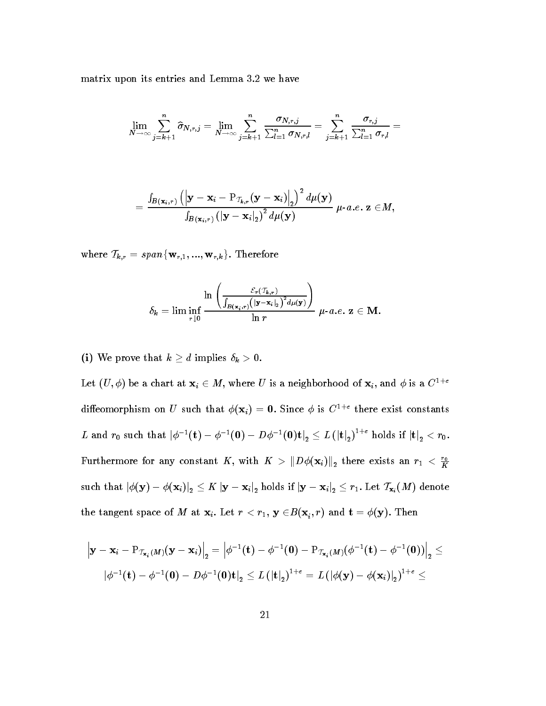matrix upon its entries and Lemma - we have an extensive and Lemma - we have an extensive and Lemma - we have

$$
\lim_{N\to\infty}\sum_{j=k+1}^n \widehat{\sigma}_{N,r,j}=\lim_{N\to\infty}\sum_{j=k+1}^n \frac{\sigma_{N,r,j}}{\sum_{l=1}^n \sigma_{N,r,l}}=\sum_{j=k+1}^n \frac{\sigma_{r,j}}{\sum_{l=1}^n \sigma_{r,l}}=
$$

$$
=\frac{\int_{\boldsymbol{B}\left(\mathbf{x}_{i},r\right)}\left(\left|\mathbf{y}-\mathbf{x}_{i}-\mathrm{P}_{\mathcal{T}_{k},r}\left(\mathbf{y}-\mathbf{x}_{i}\right)\right|_{2}\right)^{2}d\mu(\mathbf{y})}{\int_{\boldsymbol{B}\left(\mathbf{x}_{i},r\right)}\left(\left|\mathbf{y}-\mathbf{x}_{i}\right|_{2}\right)^{2}d\mu(\mathbf{y})}\ \mu\text{-}a.e.\ \mathbf{z}\in\! M,
$$

where  $\mathcal{T}_{k,r} = span{\mathbf{w}_{r,1}, ..., \mathbf{w}_{r,k}}$ . Therefore

$$
\delta_k = \lim \inf_{r\downarrow 0} \frac{\ln\left(\frac{\mathcal{E}_r(T_{k,r})}{\int_{B(\mathbf{x}_i,r)}\left(|\mathbf{y}-\mathbf{x}_i|_2\right)^2d\mu(\mathbf{y})}\right)}{\ln r} \ \mu\text{-}a.e.\ \mathbf{z}\in \mathbf{M}.
$$

(i) We prove that  $k \geq d$  implies  $\delta_k > 0$ .

Let  $(U, \varphi)$  be a chart at  $\mathbf{x}_i \in M$ , where U is a neighborhood of  $\mathbf{x}_i$ , and  $\varphi$  is a U  $^{\circ}$ diffeomorphism on U such that  $\varphi(\mathbf{x}_i) = \mathbf{0}$ . Since  $\varphi$  is  $U^{++}$  there exist constants  $L$  and  $r_0$  such that  $|\phi^{-1}(\mathbf{t}) - \phi^{-1}(\mathbf{0}) - D\phi^{-1}(\mathbf{0})\mathbf{t}|_2 \leq L(|\mathbf{t}|_2)^{1+\epsilon}$  holds if  $|\mathbf{t}|_2 < r_0$ . Furthermore for any constant  $K$ , with  $K > ||D\varphi(\mathbf{x}_i)||_2$  there exists an  $r_1 < \frac{R}{K}$ such that  $\left|\phi(\mathbf{y})-\phi(\mathbf{x}_i)\right|_2\leq$  A  $\left|\mathbf{y}-\mathbf{x}_i\right|_2$  holds if  $\left|\mathbf{y}-\mathbf{x}_i\right|_2\leq r_1.$  Let  $\left|\mathbf{x}_i\right|$   $M$  ) denote the tangent space of *M* at  $\mathbf{x}_i$ . Let  $r < r_1$ ,  $\mathbf{y} \in B(\mathbf{x}_i,r)$  and  $\mathbf{t} = \varphi(\mathbf{y})$ . Then

$$
\left|\mathbf{y}-\mathbf{x}_i-\mathrm{P}_{\mathcal{I}_{\mathbf{x}_i}(M)}(\mathbf{y}-\mathbf{x}_i)\right|_2=\left|\phi^{-1}(\mathbf{t})-\phi^{-1}(\mathbf{0})-\mathrm{P}_{\mathcal{I}_{\mathbf{x}_i}(M)}(\phi^{-1}(\mathbf{t})-\phi^{-1}(\mathbf{0}))\right|_2\leq\\\left|\phi^{-1}(\mathbf{t})-\phi^{-1}(\mathbf{0})-D\phi^{-1}(\mathbf{0})\mathbf{t}\right|_2\leq L\left(|\mathbf{t}|_2\right)^{1+\varepsilon}=L\left(|\phi(\mathbf{y})-\phi(\mathbf{x}_i)|_2\right)^{1+\varepsilon}\leq
$$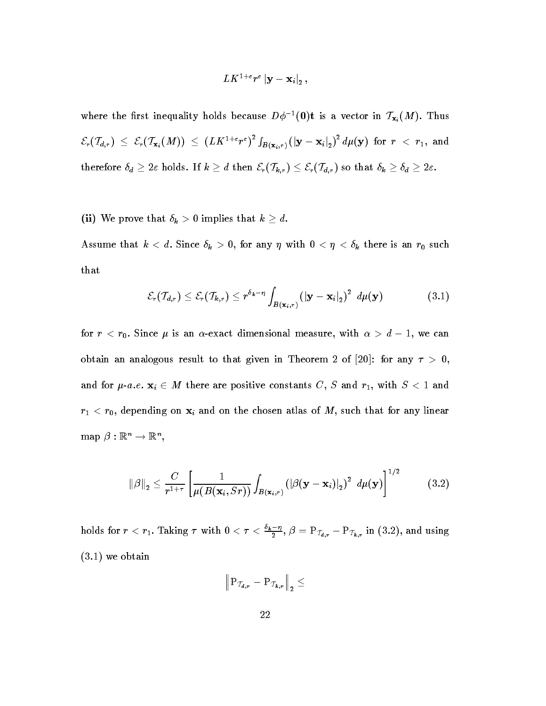$$
LK^{1+\varepsilon}r^{\varepsilon}\left|\mathbf{y}-\mathbf{x}_i\right|_{2},
$$

where the first inequality holds because  $D\phi^{-1}(0)$ t is a vector in  $T_{\mathbf{x}_i}(M)$ . Thus  $\mathcal{E}_r(\mathcal{T}_{d,r}) \ \leq \ \mathcal{E}_r(\mathcal{T}_{\mathbf{x}_i}(M)) \ \leq \ (LK^{1+\varepsilon}r^{\varepsilon})^2 \int_{B(\mathbf{x}_i,r)} \left( |\mathbf{y}-\mathbf{x}_i|_2 \right)^2 d\mu(\mathbf{y}) \ \ \text{for} \ \ r \ < \ r_1, \ \text{and}$ therefore  $\delta_d \geq 2\varepsilon$  holds. If  $k \geq d$  then  $\mathcal{E}_r(\mathcal{T}_{k,r}) \leq \mathcal{E}_r(\mathcal{T}_{d,r})$  so that  $\delta_k \geq \delta_d \geq 2\varepsilon$ .

(ii) We prove that  $\delta_k > 0$  implies that  $k \geq d$ .

Assume that is a discussion of  $\mu$  , any  $\mu$  is any  $\mu$  is an result of  $\mu$  . There is an result of  $\mu$ that

$$
\mathcal{E}_r(\mathcal{T}_{d,r}) \leq \mathcal{E}_r(\mathcal{T}_{k,r}) \leq r^{\delta_k - \eta} \int_{B(\mathbf{x}_i,r)} (|\mathbf{y} - \mathbf{x}_i|_2)^2 d\mu(\mathbf{y}) \qquad (3.1)
$$

for  $r < r_0$ . Since  $\mu$  is an  $\alpha$ -exact dimensional measure, with  $\alpha > a-1$ , we can obtain an analogous result to that given in Theorem 2 of [20]: for any  $\tau > 0$ , and for  $\mu$ -a.e.  $\mathbf{x}_i \in M$  there are positive constants  $C, S$  and  $r_1$ , with  $S \leq 1$  and r role of the chosen and one chosen at the chosen atlas of M such that for any linear  $\alpha$  $\text{map } \rho : \mathbb{R}^n \to \mathbb{R}^n,$ 

$$
\|\beta\|_2 \leq \frac{C}{r^{1+\tau}} \left[ \frac{1}{\mu(B(\mathbf{x}_i, Sr))} \int_{B(\mathbf{x}_i,r)} \left( \left| \beta(\mathbf{y} - \mathbf{x}_i) \right|_2 \right)^2 d\mu(\mathbf{y}) \right]^{1/2} \tag{3.2}
$$

holds for  $r < r_1$ . Taking  $\tau$  with  $0 < \tau < \frac{r_2-1}{2}$ ,  $\beta$  $\frac{1}{2}$ ,  $\rho =$  P $_{\mathcal{T}_{d,r}}$  – P $_{\mathcal{T}_{k,r}}$  in (3.2), and using  $\mathbf{v}$  -  $\mathbf{v}$  -  $\mathbf{v}$  -  $\mathbf{v}$  -  $\mathbf{v}$  -  $\mathbf{v}$  -  $\mathbf{v}$  -  $\mathbf{v}$  -  $\mathbf{v}$  -  $\mathbf{v}$  -  $\mathbf{v}$  -  $\mathbf{v}$  -  $\mathbf{v}$  -  $\mathbf{v}$  -  $\mathbf{v}$  -  $\mathbf{v}$  -  $\mathbf{v}$  -  $\mathbf{v}$  -  $\mathbf{v}$  -  $\mathbf{v}$  -

$$
\left\|\mathrm{P}_{\,\mathcal{T}_{\boldsymbol{d},\boldsymbol{r}}}-\mathrm{P}_{\,\mathcal{T}_{\boldsymbol{k},\boldsymbol{r}}}\right\|_2\leq
$$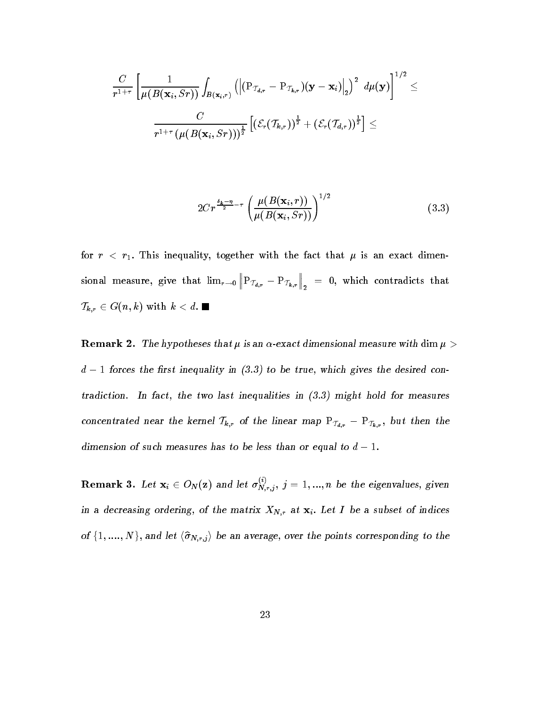$$
\frac{C}{r^{1+\tau}}\left[\frac{1}{\mu(B(\mathbf{x}_i, Sr))}\int_{B(\mathbf{x}_i,r)}\left(\left\vert(\mathrm{P}_{\mathcal{I}_{d,r}}-\mathrm{P}_{\mathcal{I}_{k,r}})(\mathbf{y}-\mathbf{x}_i)\right\vert_2\right)^2\ d\mu(\mathbf{y})\right]^{1/2}\leq\\ \frac{C}{r^{1+\tau}\left(\mu(B(\mathbf{x}_i, Sr))\right)^{\frac{1}{2}}}\left[(\mathcal{E}_r(\mathcal{I}_{k,r}))^{\frac{1}{2}}+(\mathcal{E}_r(\mathcal{I}_{d,r}))^{\frac{1}{2}}\right]\leq
$$

$$
2Cr^{\frac{\delta_k-\eta}{2}-\tau}\left(\frac{\mu(B(\mathbf{x}_i,r))}{\mu(B(\mathbf{x}_i,Sr))}\right)^{1/2}
$$
\n(3.3)

for real intervals in the fact that  $\mathbf{f}$  is an exact dimensional intervals in the fact that  $\mathbf{f}$ sional measure give that limit  $\sigma$  is that limit  $\sigma$  $\left\| \text{P}_{\mathcal{T}_{\boldsymbol{d},\boldsymbol{r}}} - \text{P}_{\mathcal{T}_{\boldsymbol{k},\boldsymbol{r}}} \right\|_2$  $\Big\|_2\ =\ 0,\ \text{which contradicts }\ \text{that}$  $I_{k,r} \in \text{G}(n, \kappa)$  with  $\kappa < a$ .

 ${\bf n}$  . The hypotheses that  $\mu$  is an  $\alpha$ -exact dimensional measure with  ${\bf u}$ m  $\mu \times$  $d-1$  forces the first inequality in  $(3.3)$  to be true, which gives the desired con $t$  tradiction. In fact, the two last inequalities in  $\{0.9\}$  might hold for measures concentrated near the kernel  $I_{k,r}$  of the linear map  $\mathbb{P}_{\mathcal{I}_{d,r}} - \mathbb{P}_{\mathcal{I}_{k,r}}$ , but then the dimension of such measures has to be less than or equal to  $a - 1$ .

**Remark 3.** Let  $\mathbf{x}_i \in O_N(\mathbf{z})$  and let  $\sigma_{N,r,j}^{\vee}, \ j = 1,...,n$  be the eigenvalues, given in a decreasing ordering, or the matrix  $X_{N,r}$  at  $X_i$ . Let I be a subset of indices of  $\{1, \ldots, N\}$ , and let  $\langle \sigma_{N,r,j} \rangle$  be an average, over the points corresponding to the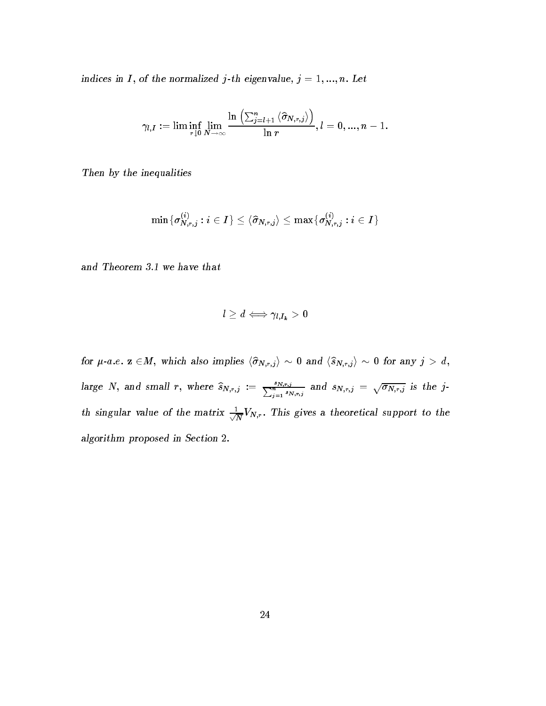$\limatop$ uces in 1, or the normalized  $\lim_{t\to\infty}$  eigenvalue,  $\lim_{t\to\infty}$   $\lim_{t\to\infty}$ 

$$
\gamma_{l,I}:=\lim\inf_{r\downarrow 0}\lim_{N\to\infty}\frac{\ln\left(\sum_{j=l+1}^{n}\left\langle\widehat{\sigma}_{N,r,j}\right\rangle\right)}{\ln r},l=0,...,n-1.
$$

Then by the inequalities

$$
\min \{\sigma_{N,r,j}^{(i)}: i \in I\} \leq \langle \widehat{\sigma}_{N,r,j} \rangle \leq \max \{\sigma_{N,r,j}^{(i)}: i \in I\}
$$

and Incorem our we have that

$$
l\geq d \Longleftrightarrow \gamma_{l,I_{k}}>0
$$

for  $\mu$ -a.e.  $\mathbf{z} \in M$ , which also implies  $\langle \hat{\sigma}_{N,r,j} \rangle \sim 0$  and  $\langle \hat{s}_{N,r,j} \rangle \sim 0$  for any  $j > d$ , large N, and small r, where  $\widehat{s}_{N,r,j} := \frac{s_{N,r,j}}{\sum_{j=1}^n s_{N,r,j}}$  and  $s_{N,r,j} = \sqrt{\sigma_{N,r,j}}$  is the jth singular value of the matrix  $\rightleftharpoons$  V<sub>N</sub>  $\overline{N}$   $(N,r)$ . This gives a theoretical support to the  $a$  algorithm proposed in Section  $\mathbb{Z}$ .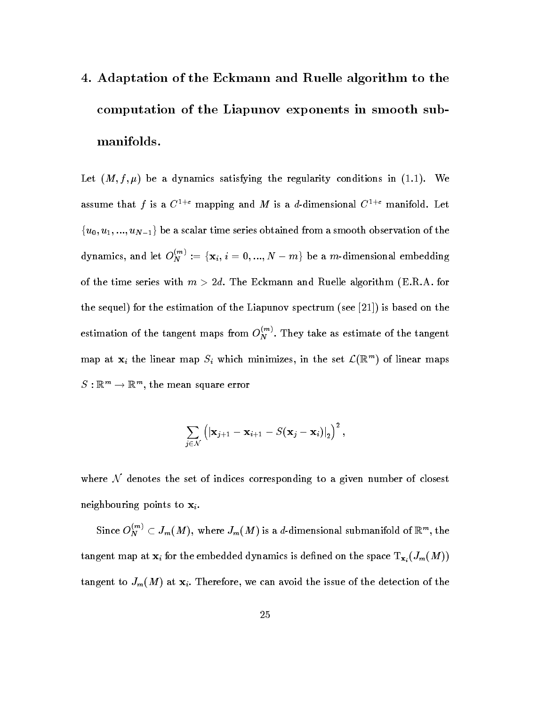# - Adaptation of the Eckmann and Ruelle algorithm to the computation of the Liapunov exponents in smooth sub manifolds-

Let M f - be a dynamics satisfying the regularity conditions in -- We assume that f is a  $C^{-+}$  mapping and M is a d-dimensional  $C^{-+}$  manifold. Let  $\{u_0, u_1, ..., u_{N-1}\}\,$  be a scalar time series obtained from a smooth observation of the dynamics, and let  $O_N^{\times n}:=\{\mathbf{x}_i,\,i=0,...,N-m\}$  be a m-dimensional embedding of the time series with m  $\mathbf{M}$ the sequel for the estimation of the Liapunov spectrum see is based on the estimation of the tangent maps from  $O_N^{\sim}$ . They take as estimate of the tangent map at  $\mathbf{x}_i$  the linear map  $S_i$  which minimizes, in the set  $\mathcal{L}(\mathbb{R}^m)$  of linear maps  $S : \mathbb{R}^m \to \mathbb{R}^m$ , the mean square error

$$
\sum_{j\in\mathcal{N}}\left(\left|\mathbf{x}_{j+1}-\mathbf{x}_{i+1}-S(\mathbf{x}_j-\mathbf{x}_i)\right|_2\right)^2,
$$

where  $N$  denotes the set of indices corresponding to a given number of closest neighbouring points to  $x_i$ .

Since  $O_N^{\sim}{}' \subset J_m(M)$ , where  $J_m(M)$  is a d-dimensional submanifold of  $\mathbb{K}^m,$  the tangent map  $\mathbf{r}_i$  at  $\mathbf{r}_i$  for the embedded dynamics is denomined on the space  $\mathbf{r}_i$  and  $\mathbf{r}_i$ tangent to Jm M at xi Therefore we can avoid the issue of the detection of the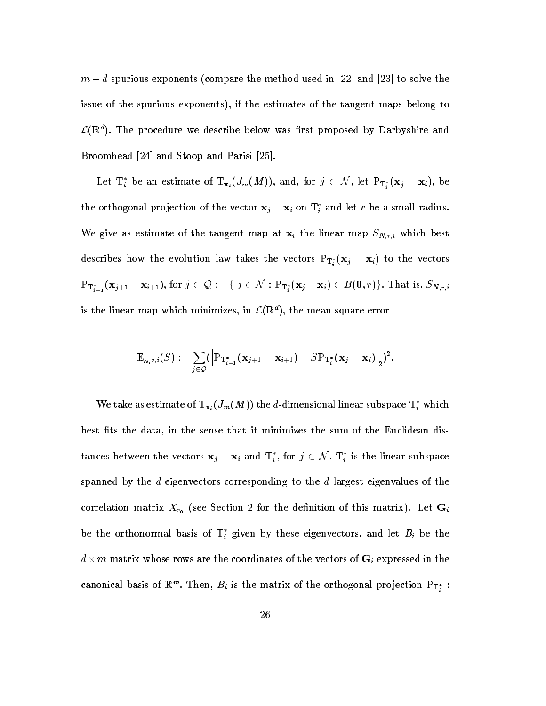$m - a$  spurious exponents (compare the method used in  $\vert z z \vert$  and  $\vert z_0 \vert$  to solve the issue of the spurious exponents), if the estimates of the tangent maps belong to  $\mathcal{L}(\mathbb{R}^n)$ . The procedure we describe below was first proposed by Darbyshire and Broomhead [24] and Stoop and Parisi [25].

Let  $\mathrm{T}^*_i$  be an estimate of  $\mathrm{T}_{\mathbf{x}_i}(J_m(M)),$  and, for  $j\,\in\,\mathcal{N},$  let  $\mathrm{P}_{\mathrm{T}^*_i}(\mathbf{x}_j-\mathbf{x}_i),$  be the orthogonal projection of the vector  $\mathbf{x}_j - \mathbf{x}_i$  on  $\mathbf{1}_i$  and let  $r$  be a small radius. We give as estimate of the tangent map at  $x_i$  the linear map  $S_{N,r,i}$  which best describes now the evolution law takes the vectors  $\mathbf{r}_{\mathbf{T}_i^*}(\mathbf{x}_j - \mathbf{x}_i)$  to the vectors  $\mathrm{Pr}^*_{i+1}(\mathbf{x}_{j+1}-\mathbf{x}_{i+1}), \text{for } j \in \mathcal{Q} := \{ \ j \in \mathcal{N}: \mathrm{Pr}^*_{i}(\mathbf{x}_j-\mathbf{x}_i) \in B(\mathbf{0},r) \}. \text{ That is, } S_{N,r,i}$ is the linear map which minimizes, in  $\mathcal{L}(\mathbb{R}^n)$ , the mean square error

$$
\mathbb{E}_{\mathbf{N},r,i}(S) := \sum_{j\in\mathcal{Q}} \bigl(\left|\mathrm{P}_{\mathrm{T}_{i+1}^*}(\mathbf{x}_{j+1}-\mathbf{x}_{i+1})-S\mathrm{P}_{\mathrm{T}_i^*}(\mathbf{x}_j-\mathbf{x}_i)\right|_2)^2.
$$

We take as estimate of  $\Gamma_{\mathbf{x}_i}(J_m(M))$  the a-dimensional linear subspace  $\Gamma_i$  which best fits the data, in the sense that it minimizes the sum of the Euclidean distances between the vectors  $\mathbf{x}_j - \mathbf{x}_i$  and  $\mathrm{T}_i^*,$  for  $j \in \mathcal{N}.$   $\mathrm{T}_i^*$  is the linear subspace spanned by the  $d$  eigenvectors corresponding to the  $d$  largest eigenvalues of the correlation matrix  $\mathcal{L}$  for the density of the density of the density of this matrix  $\mathcal{L}$ be the orthonormal basis of  $I_i$  given by these eigenvectors, and let  $D_i$  be the  $d\times m$  matrix whose rows are the coordinates of the vectors of  $\mathbf{G}_i$  expressed in the canonical basis of  $\mathbb{R}^m$ . Then,  $B_i$  is the matrix of the orthogonal projection  $\mathrm{P}\mathbb{T}^*_i$ :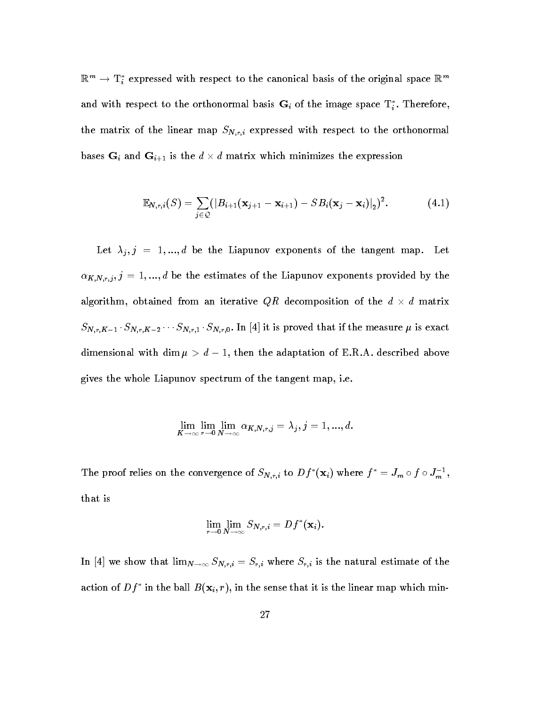$\mathbb{R}^m \to \mathbf{I}_i$  expressed with respect to the canonical basis of the original space  $\mathbb{R}^m$ and with respect to the orthonormal basis  $\mathbf{G}_i$  of the image space  $\mathbf{I}_i$ . Therefore, the matrix of the linear map  $S_{N,r,i}$  expressed with respect to the orthonormal bases  $G_i$  and  $G_{i+1}$  is the  $d \times d$  matrix which minimizes the expression

$$
\mathbb{E}_{N,r,i}(S) = \sum_{j \in \mathcal{Q}} (|B_{i+1}(\mathbf{x}_{j+1} - \mathbf{x}_{i+1}) - SB_i(\mathbf{x}_j - \mathbf{x}_i)|_2)^2.
$$
 (4.1)

the the letter of the tangent maps of the tangent maps of the tangent map the tangent map  $\Gamma$  the tangent map  $\Gamma$  $\alpha_{K,N,r,j}, j = 1,...,d$  be the estimates of the Liapunov exponents provided by the algorithm, obtained from an iterative QR decomposition of the  $d \times d$  matrix  $SN_{r,K-1} \cdot SN_{r,K-2} \cdots SN_{r,1} \cdot SN_{r,0}$ . In |4| It is proved that if the measure  $\mu$  is exact dimensional with dim  $\mu > a-1$ , then the adaptation of E.K.A. described above gives the whole Liapunov spectrum of the tangent map i-e-

$$
\lim_{K\to\infty}\lim_{r\to 0}\lim_{N\to\infty}\alpha_{K,N,r,j}=\lambda_j, j=1,...,d.
$$

The proof relies on the convergence of  $S_{N,r,i}$  to  $Df(X_i)$  where  $f = J_m \circ f \circ J_m$ , that is

$$
\lim_{r\to 0}\lim_{N\to\infty}S_{N,r,i}=Df^*(\mathbf{x}_i).
$$

In [4] we show that  $\lim_{N\to\infty} S_{N,r,i} = S_{r,i}$  where  $S_{r,i}$  is the natural estimate of the action of  $Df$  in the ball  $D(X_i, T)$ , in the sense that it is the linear map which min-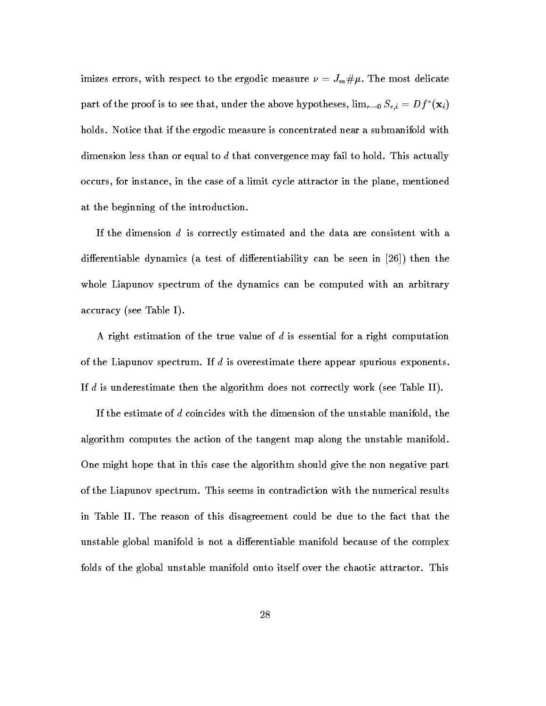imizes errors with respect to the most delicate measure  $\mathbf n$  . The most delicate measure  $\mathbf n$ part of the proof is to see that, under the above hypotheses,  $\min_{x\to 0} S_{r,i} = Df_i(x_i)$ holds- Notice that if the ergodic measure is concentrated near a submanifold with dimension less than or equal to d that convergence may fail to hold- This actually occurs, for instance, in the case of a limit cycle attractor in the plane, mentioned at the beginning of the introduction.

If the dimension d is correctly estimated and the data are consistent with a dierentiable dynamics a test of dierentiability can be seen in then the whole Liapunov spectrum of the dynamics can be computed with an arbitrary accuracy is a set of the second contract of the second contract of the second contract of the second contract o

A right estimation of the true value of d is essential for a right computation of the Liapunov spectrum- If d is overestimate there appear spurious exponents-If definition the algorithm does not correctly work algorithm does not correctly work  $\mathcal{L}$ 

If the estimate of d coincides with the dimension of the unstable manifold, the algorithm computes the action of the tangent map along the unstable manifold-One might hope that in this case the algorithm should give the non negative part of the Liapunov spectrum- This seems in contradiction with the numerical results in Table II. The reason of this disagreement could be due to the fact that the unstable global manifold is not a differentiable manifold because of the complex folds of the global unstable manifold onto itself over the chaotic attractor- This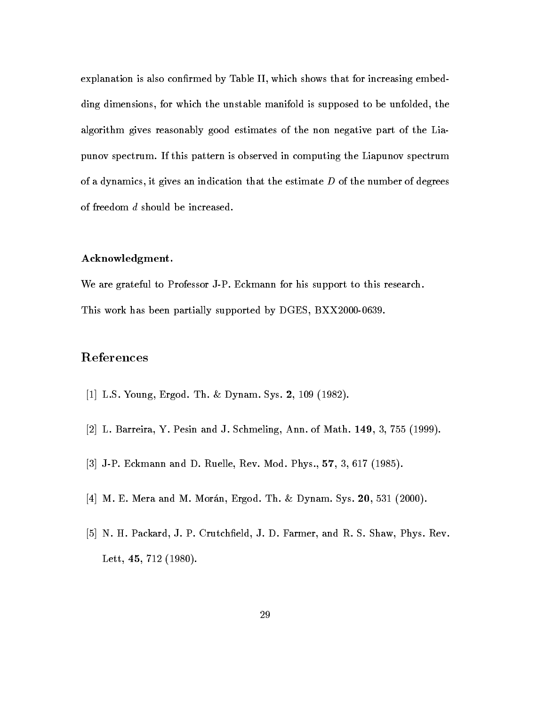explanation is also confirmed by Table II, which shows that for increasing embedding dimensions, for which the unstable manifold is supposed to be unfolded, the algorithm gives reasonably good estimates of the non negative part of the Lia punov spectrum- If this pattern is observed in computing the Liapunov spectrum of a dynamics, it gives an indication that the estimate  $D$  of the number of degrees of freedom  $d$  should be increased.

#### Acknowledgment-

We are grateful to Professor JP- Eckmann for his support to this research-This work has been partially supported by  $DGES, BXX2000-0639$ .

### References

- L-S- Young Ergod- Th- Dynam- Sys- -
- L- Barreira Y- Pesin and J- Schmeling Ann- of Math- -
- JP- Eckmann and D- Ruelle Rev- Mod- Phys- 
 -
- M- E- Mera and M- Moran Ergod- Th- Dynam- Sys- -
- N- H- Packard J- P- Crutcheld J- D- Farmer and R- S- Shaw Phys- Rev-Lett  -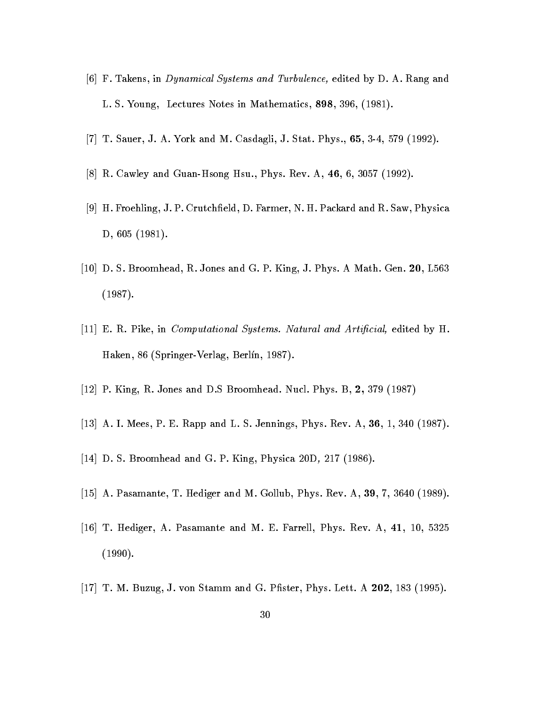- F- Takens in Dynamical Systems and Turbulence edited by D- A- Rang and L- S- Young Lectures Notes in Mathematics -
- T- Sauer J- A- York and M- Casdagli J- Stat- Phys-  -
- R- Cawley and GuanHsong Hsu- Phys- Rev- A -
- H- Froehling J- P- Crutcheld D- Farmer N- H- Packard and R- Saw Physica D -
- D- S- Broomhead R- Jones and G- P- King J- Phys- A Math- Gen- L  $\sqrt{2}$
- E- R- Pike in Computational Systems Natural and Articial edited by H-Haken SpringerVerlag Berl n -
- P- King R- Jones and D-S Broomhead- Nucl- Phys- B
- A- I- Mees P- E- Rapp and L- S- Jennings Phys- Rev- A -
- D- S- Broomhead and G- P- King Physica D -
- A- Pasamante T- Hediger and M- Gollub Phys- Rev- A -
- T- Hediger A- Pasamante and M- E- Farrell Phys- Rev- A -
- T- M- Buzug J- von Stamm and G- Pster Phys- Lett- A -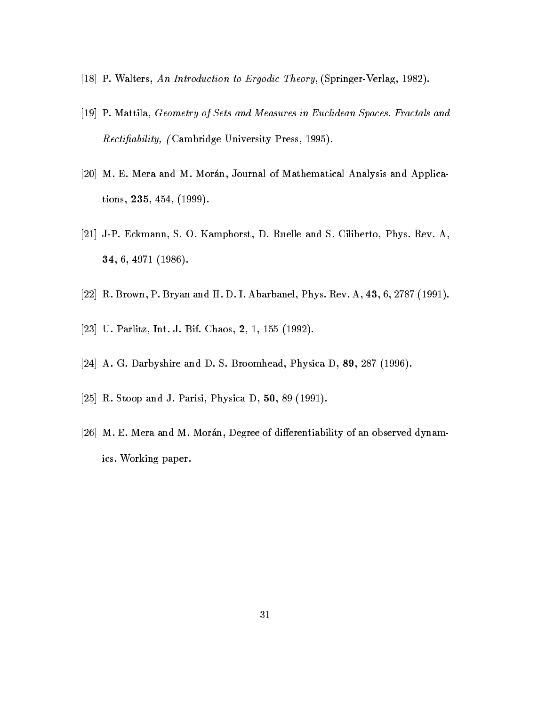- P- Walters An Introduction to Ergodic Theory SpringerVerlag -
- P- Mattila Geometry of Sets and Measures in Euclidean Spaces Fractals and  $Rectifiability,$  (Cambridge University Press, 1995).
- M- E- Mera and M- Moran Journal of Mathematical Analysis and Applica tions  -
- JP- Eckmann S- O- Kamphorst D- Ruelle and S- Ciliberto Phys- Rev- A - - , - , - , - , - , - , .
- r and H-I-Branch Phys-III (1989) and H-I-Branch Phys-II (1989) and H-I-Branch Phys-II (1989) and H-I-Branch Ph
- U-Chaos III and International Communication of the Chaos II and International Communication of the Chaos II and
- A- G- Darbyshire and D- S- Broomhead Physica D -
- R- Stoop and J- Parisi Physica D  -
- M- E- Mera and M- Moran Degree of dierentiability of an observed dynam ics- Working paper-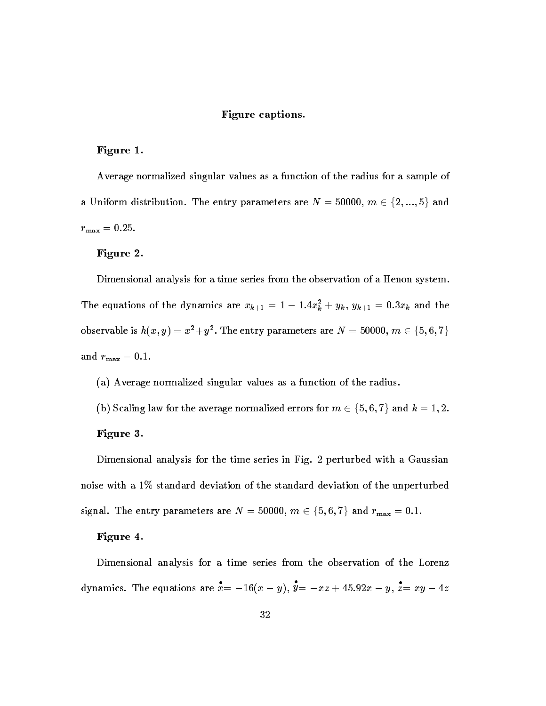#### Figure captions-

#### Figure 1.

Average normalized singular values as a function of the radius for a sample of a Uniform distribution. The entry parameters are  $N=50000,\ m\in\{2,...,5\}$  and  $r_{\text{max}}=0.25$ .

#### Figure 2.

Dimensional analysis for a time series from the observation of a Henon system-

The equations of the dynamics are  $x_{k+1} = 1 - 1.4x_k^2 + y_k$ ,  $y_{k+1} = 0.3x_k$  and the observable is  $h(x,y) = x^2 + y^2.$  The entry parameters are  $N = 50000, \, m \in \{5,6,7\}$ and  $r_{\text{max}} = 0.1$ .

- a Average normalized singular values as a function of the radius-definition of the radius-definition of the radius-
- (b) Scaling law for the average normalized errors for  $m \in \{5,6,7\}$  and  $k=1,2.$

#### Figure 3.

 $D$  and time series in Fig. , with a Gaussian for the time series in  $D$  and  $D$  and  $D$  and  $D$ noise with a  $1\%$  standard deviation of the standard deviation of the unperturbed signal. The entry parameters are  $N=50000, \ m \in \{5,6,7\}$  and  $r_{\max}=0.1.$ 

#### Figure -

Dimensional analysis for a time series from the observation of the Lorenz dynamics. The equations are  $\dot{x} = -16(x - y)$ ,  $y = -xz + 45.92x - y$ ,  $\dot{z} = xy - 4z$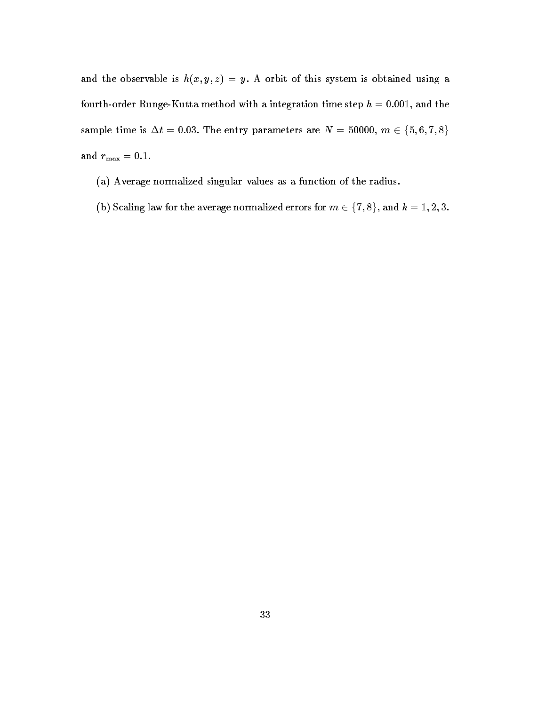and the observable is how the observable is the obtained using a system is obtained using a system in  $\mathcal{M}$ fourth-order Runge-Kutta method with a integration time step  $h = 0.001$ , and the sample time is  $\Delta t = 0.03$ . The entry parameters are  $N = 50000, m \in \{5,6,7,8\}$ and  $r_{\text{max}} = 0.1$ .

- a Average normalized singular values as a function of the radius-function of the radius-function of the radius-
- (b) Scaling law for the average normalized errors for  $m \in \{7,8\},$  and  $k=1,2,3.$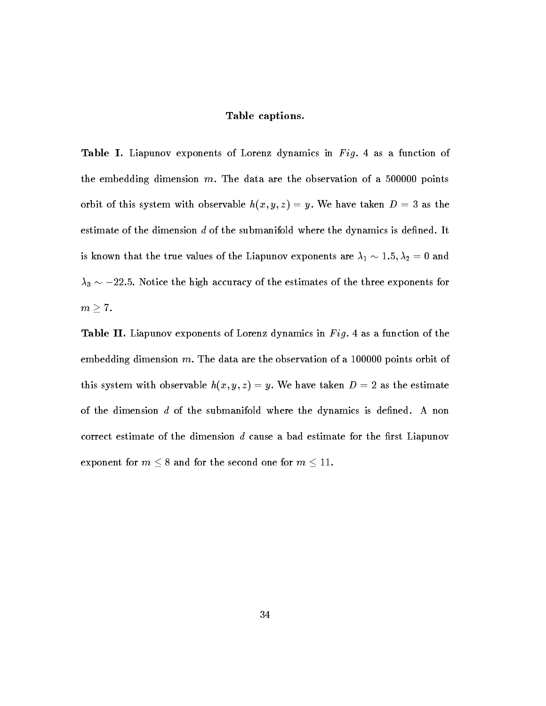#### Table captions-

Table I- Liapunov exponents of Lorenz dynamics in F ig as a function of the embedding dimension  $m$ . The data are the observation of a 500000 points orbit of this system with observable h x y z y We have taken D as the estimate of the dimension d of the submanifold where the dynamics is dened- It is known that the true values of the Liapunov exponents are  $\lambda_1 \sim 1.5, \lambda_2 = 0$  and  $\lambda_3 \sim -22.5$ . Notice the high accuracy of the estimates of the three exponents for  $m \geq 7$ .

Table II- Liapunov exponents of Lorenz dynamics in F ig as a function of the embedding dimension  $m$ . The data are the observation of a 100000 points orbit of  $\alpha$  , which are taken between  $\alpha$  ,  $\alpha$  ,  $\beta$  ,  $\beta$  ,  $\beta$  ,  $\beta$  ,  $\beta$  ,  $\beta$  ,  $\beta$  ,  $\alpha$  ,  $\beta$  ,  $\alpha$  ,  $\beta$  ,  $\beta$  ,  $\beta$  ,  $\beta$  ,  $\beta$  ,  $\beta$  ,  $\beta$  ,  $\beta$  ,  $\beta$  ,  $\beta$  ,  $\beta$  ,  $\beta$  ,  $\beta$  ,  $\beta$  ,  $\beta$  , if the dimension d of the submanifold where the dynamics is denoted the dynamics is denoted correct estimate of the dimension  $d$  cause a bad estimate for the first Liapunov exponent for  $m \leq 8$  and for the second one for  $m \leq 11$ .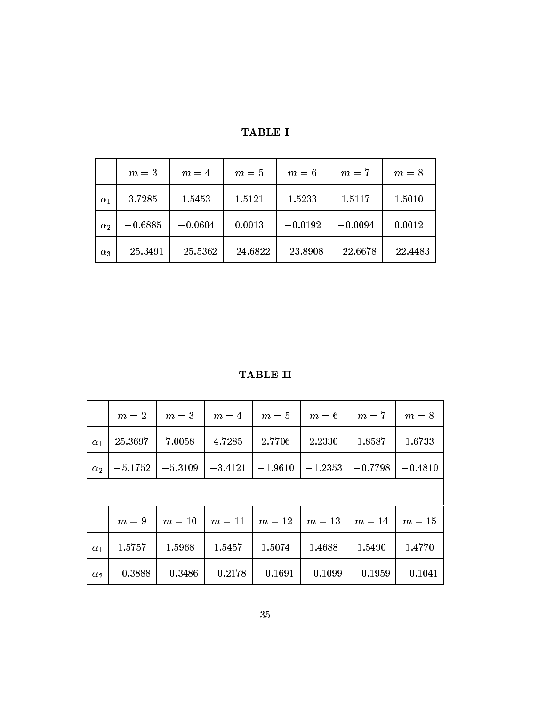|            | $m=3$      | $m=4$      | $m=5$      | $m=6$      | $m=7$      | $m=8$      |
|------------|------------|------------|------------|------------|------------|------------|
| $\alpha_1$ | 3.7285     | 1.5453     | 1.5121     | 1.5233     | 1.5117     | 1.5010     |
| $\alpha$   | $-0.6885$  | $-0.0604$  | 0.0013     | $-0.0192$  | $-0.0094$  | 0.0012     |
| $\alpha_3$ | $-25.3491$ | $-25.5362$ | $-24.6822$ | $-23.8908$ | $-22.6678$ | $-22.4483$ |

TABLE I

TABLE II

|                       | $m=2$     | $m=3$     | $m=4$                                     | $m=5$     | $m=6$     | $m=7$     | $m=8$     |  |  |  |
|-----------------------|-----------|-----------|-------------------------------------------|-----------|-----------|-----------|-----------|--|--|--|
| $\alpha_1$            | 25.3697   | 7.0058    | 4.7285                                    | 2.7706    | 2.2330    | 1.8587    | 1.6733    |  |  |  |
| $\alpha$ <sub>2</sub> | $-5.1752$ | $-5.3109$ | $-3.4121$                                 | $-1.9610$ | $-1.2353$ | $-0.7798$ | $-0.4810$ |  |  |  |
|                       |           |           |                                           |           |           |           |           |  |  |  |
|                       | $m=9$     |           | $m = 10$   $m = 11$   $m = 12$   $m = 13$ |           |           | $m=14$    | $m=15$    |  |  |  |
| $\alpha_1$            | 1.5757    | 1.5968    | 1.5457                                    | 1.5074    | 1.4688    | 1.5490    | 1.4770    |  |  |  |
| $\alpha_2$            | $-0.3888$ | $-0.3486$ | $-0.2178$                                 | $-0.1691$ | $-0.1099$ | $-0.1959$ | $-0.1041$ |  |  |  |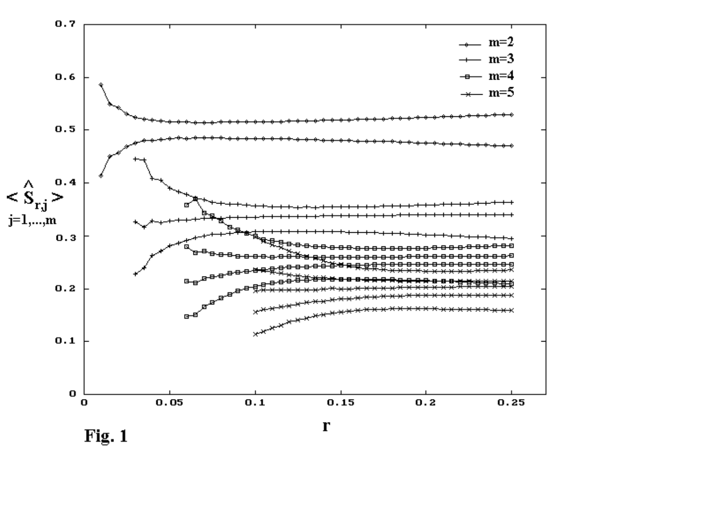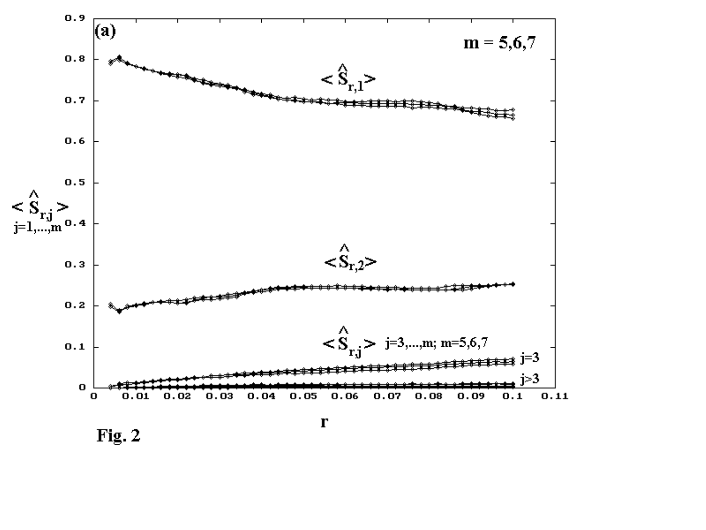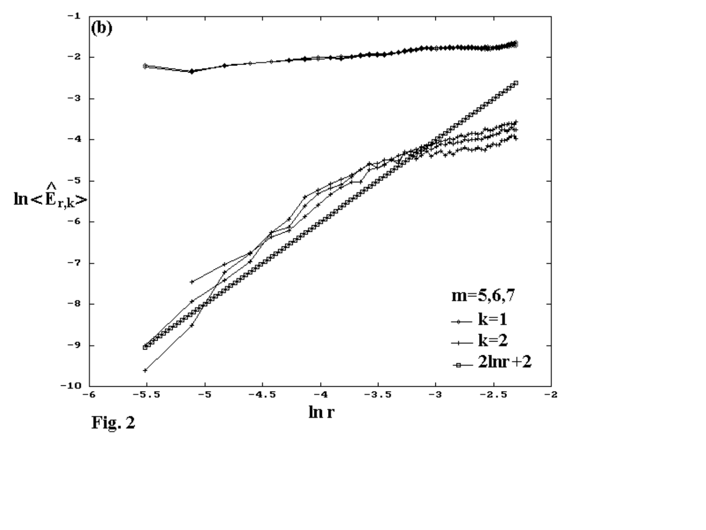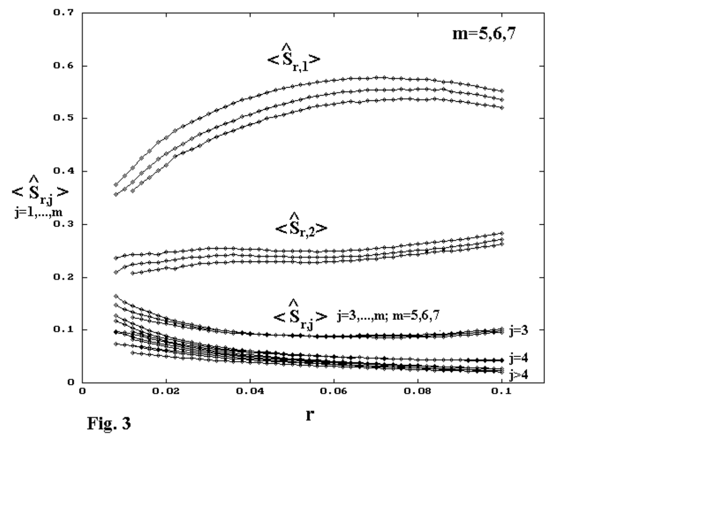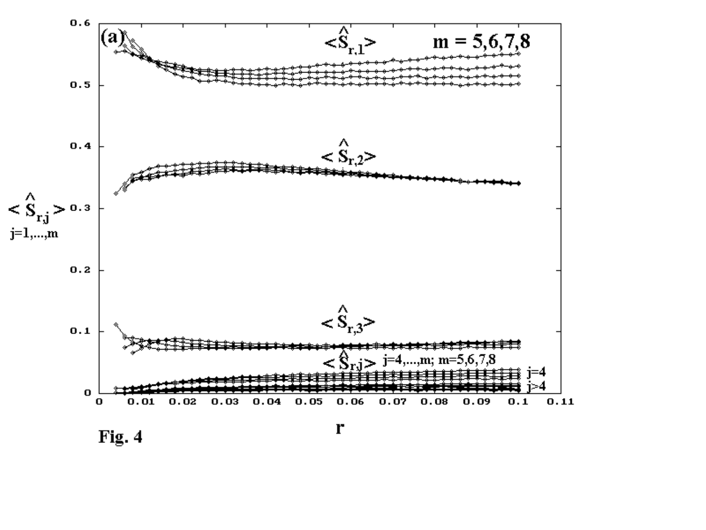